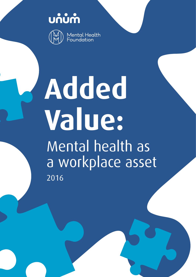บก้บทำ



Mental Health<br>Foundation

# **Added Value:** Mental health as a workplace asset 2016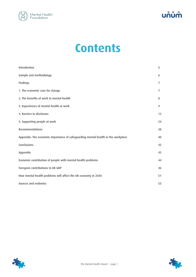



## **Contents**

| Introduction                                                                     | 5              |
|----------------------------------------------------------------------------------|----------------|
| Sample and methodology                                                           | 6              |
| Findings                                                                         | $\overline{7}$ |
| 1. The economic case for change                                                  | $\overline{7}$ |
| 2. The benefits of work to mental health                                         | 8              |
| 3. Experiences of mental health at work                                          | 9              |
| 4. Barriers to disclosure                                                        | 12             |
| 5. Supporting people at work                                                     | 24             |
| Recommendations                                                                  | 38             |
| Appendix: The economic importance of safeguarding mental health in the workplace | 40             |
| Conclusions                                                                      | 42             |
| Appendix                                                                         | 43             |
| Economic contribution of people with mental health problems                      | 44             |
| Foregone contributions to UK GDP                                                 | 46             |
| How mental health problems will affect the UK economy in 2030                    | 51             |
| Sources and endnotes                                                             | 53             |



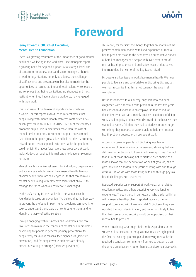



## **Foreword**

#### Jenny Edwards, CBE, Chief Executive, Mental Health Foundation

There is a growing awareness of the importance of good mental health and wellbeing in the workplace. Line managers report a growing need for help and support. At a strategic level, and of concern to HR professionals and senior managers, there is a need for organisations not only to address the challenge of staff absence and presenteeism, but also to maximise the opportunities to recruit, tap into and retain talent. Wise leaders are conscious that their organisations are strongest and most resilient when they have a diverse workforce, fully engaged with their work.

This is an issue of fundamental importance to society as a whole. For this report, Oxford Economics estimates that people living with mental health problems contributed £226 billion gross value to UK GDP in 2015 - 12.1% of the country's economic output. This is nine times more than the cost of mental health problems to economic output – an estimated £25 billion in foregone gross value added that the UK economy missed out on because people with mental health problems could not join the labour force, were less productive at work, took sick days or required informal carers to leave employment for them.

Mental health is a universal asset – for individuals, organisations and society as a whole. We all have mental health. Like our physical health, there are challenges in life that can harm our mental health, along with protective factors that allow us to manage the times when our resilience is challenged.

As the UK's charity for mental health, the Mental Health Foundation focuses on prevention. We believe that the best way to prevent the profound impact mental problems can have is to seek to understand the factors that contribute to them, and to identify and apply effective solutions.

Through engaging with businesses and workplaces, we can take steps to minimise the chances of mental health problems developing for people in general (primary prevention); for people who, for various reasons, face higher risks (selective prevention); and for people where problems are already present or starting to emerge (indicated prevention).

This report, for the first time, brings together an analysis of the positive contribution people with lived experience of mental health problems make to the economy; an authoritative survey of both line managers and people with lived experience of mental health problems; and qualitative research that delves into more detail on some of the key issues raised.

Disclosure is a key issue in workplace mental health. We need people to feel safe and comfortable in disclosing distress, but we must recognise that this is not currently the case in all workplaces.

Of the respondents to our survey, only half who had been diagnosed with a mental health problem in the last five years had chosen to disclose it to an employer in that period; of those, just over half had a mainly positive experience of doing so. A small majority of those who disclosed did so because they wanted to. Others felt that they had to disclose in order to get something they needed, or were unable to hide their mental health problem because of an episode at work.

A common cause of people not disclosing was fear or experience of discrimination or harassment, showing that we still have some distance to travel in addressing stigma. The fact that 41% of those choosing not to disclose cited shame as a reason shows that we need to take on self-stigma too, and to give individuals a reason to be proud of living with and through distress – as we do with those living with and through physical health challenges, such as cancer.

Reported experiences of support at work vary, some relating excellent practice, and others describing very challenging experiences. Though those in our research who disclosed living with a mental health problem reported receiving the best support (compared with those who didn't disclose), they also reported the most discrimination, and were most likely to feel that their career or job security would be jeopardised by their mental health problem.

When considering what might help, both respondents to the survey and participants in the qualitative research highlighted the fact that valuing, protecting and improving mental health required a consistent commitment from top to bottom across the whole organisation – rather than just a piecemeal approach.



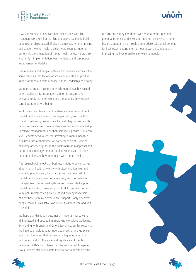



It was no surprise to discover that relationships with line managers were key, but that line managers could only build good relationships at work if given the necessary time, training and support. Mental health policies were seen as important – better still, the integration of mental health across HR practice – but only if implementation was monitored, and continuous improvement undertaken.

Line managers and people with lived experience identified the same three success factors for achieving a sustained positive impact on mental health at work: culture, leadership and policy.

We need to create a culture in which mental health is valued. where disclosure is encouraged, support is present, and everyone feels that their work and the benefits they receive contribute to their wellbeing.

Workplaces need leadership that demonstrates commitment to mental health as an asset of the organisation, and one that is critical to achieving business results or strategic outcomes. This needs to cascade from board champions and senior leadership to middle management and then first line supervisors. At each level, leaders need to feel that investing in mental health is a valuable use of their time. At every touch point – whether analysing absence figures in the boardroom or in appraisal and performance management in frontline supervision – leaders need to understand how to engage with mental health.

This research points out that business is right to be concerned about mental health at work – with discrimination, fear and shame in play, it is very hard for the massive potential of mental health as an asset to be realised, and it is time this changed. Workplaces need systems and policies that support mental health. And consistency is critical. It can be achieved with well-implemented policies shaped both by leadership and by those with lived experience. Support is only effective if people know it is available, can utilise it without fear, and find it helpful.

We hope that this report becomes an important resource for all interested and engaged in improving workplace wellbeing. By working with Unum and Oxford Economics on this research, we have been able to reach new audiences on a large scale, and to explore areas that demand much greater attention and understanding. The scale and significance of mental health in the UK's workplaces must be recognised. Everyone takes their mental health state to work and is affected by the

circumstances they find there. We see enormous untapped potential for most workplaces to contribute positively to mental health. Getting this right could also produce substantial benefits for businesses, getting the most out of workforce talent and improving the lives of millions of working people.



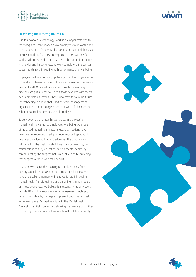

#### Liz Walker, HR Director, Unum UK

Due to advances in technology, work is no longer restricted to the workplace. Smartphones allow employees to be contactable 24/7, and Unum's 'Future Workplace' report identified that 73% of British workers feel they are expected to be available for work at all times. As the office is now in the palm of our hands, it is harder and harder to escape work completely. This can turn stress into distress, impacting both performance and wellbeing.

Employee wellbeing is rising up the agenda of employers in the UK, and a fundamental aspect of this is safeguarding the mental health of staff. Organisations are responsible for ensuring practices are put in place to support those who live with mental health problems, as well as those who may do so in the future. By embedding a culture that is led by senior management, organisations can encourage a healthier work–life balance that is beneficial for both employee and employer.

Society depends on a healthy workforce, and protecting mental health is central to employees' wellbeing. As a result of increased mental health awareness, organisations have now been encouraged to adopt a more rounded approach to health and wellbeing that also addresses the psychological risks affecting the health of staff. Line management plays a critical role in this, by educating staff on mental health, by communicating the support that is available, and by providing that support to those who may need it.

At Unum, we realise that training is crucial, not only for a healthy workplace but also to the success of a business. We have undertaken a number of initiatives for staff, including mental-health first-aid training and an online training module on stress awareness. We believe it is essential that employers provide HR and line managers with the necessary tools and time to help identify, manage and prevent poor mental health in the workplace. Our partnership with the Mental Health Foundation is vital proof of this, showing that we are committed to creating a culture in which mental health is taken seriously





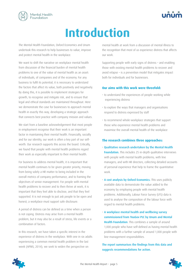<span id="page-5-0"></span>

## **Introduction**

The Mental Health Foundation, Oxford Economics and Unum undertook this research to help businesses to value, improve and protect mental health in the workplace.

We want to shift the narrative on workplace mental health from discussion of the financial burden of mental health problems to one of the value of mental health as an asset: of individuals, of companies and of the economy. For any business to fulfil its potential, it is necessary to understand the factors that affect its value, both positively and negatively. By doing this, it is possible to implement strategies for growth, to recognise and mitigate risk, and to ensure that legal and ethical standards are maintained throughout. Here we demonstrate the case for businesses to approach mental health in exactly this way, developing a strategic approach that connects best practice with company mission and values.

We start from a baseline acknowledgement that most people in employment recognise that their work is an important factor in maintaining their mental health. Financially, socially and for our identity, our work is often a key part of our selfworth. Our research supports this across the board. Critically, we found that people with mental health problems regard their work as especially important to their mental health.

For business to address mental health, it is important that mental health continues to be given greater priority, moving from being solely a HR matter to being included in the overall metrics of company performance, and to framing the objectives of senior management. For people with mental health problems to recover and to then thrive at work, it is important that they feel able to disclose, and that they feel supported. It is not enough to just ask people to be open and honest; a workplace must support safe disclosure.

A period of distress can be defined as a time when a person is not coping. Distress may arise from a mental health problem, but it may also be a result of stress, life events or a combination of factors.

In this research, we have taken a specific interest in the experience of distress in the workplace. With one in six adults experiencing a common mental health problem in the last week (APMS, 2014), we seek to widen the perspective on

mental health at work from a discussion of mental illness to the recognition that most of us experience distress that affects our work.

Supporting people with early signs of distress – and enabling those with existing mental health problems to recover and avoid relapse – is a prevention model that mitigates impact both for individuals and for businesses.

#### **Our aims with this work were threefold:**

- to understand the experiences of people working while experiencing distress
- to explore the ways that managers and organisations respond to distress expressed by staff
- to recommend whole-workplace strategies that support those who experience mental health problems and maximise the overall mental health of the workplace

#### **The research combines three approaches:**

- Qualitative research undertaken by the Mental Health Foundation. This includes 25 in-depth qualitative interviews with people with mental health problems; with line managers; and with HR directors, collecting detailed accounts of personal experience that help to frame the quantitative work.
- A cost analysis by Oxford Economics. This uses publicly available data to demonstrate the value added to the economy by employing people with mental health problems. Additionally, Labour Force Survey (LFS) data is used to analyse the composition of the labour force with regard to mental health problems.
- A workplace mental health and wellbeing survey commissioned from YouGov PLC by Unum and Mental Health Foundation. This combines a sample of around 1,000 people who have self-defined as having mental health problems with a further sample of around 1,000 people with line-management responsibilities.

The report summarises the findings from this data and suggests recommendations for action.



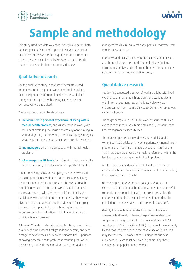<span id="page-6-0"></span>

## **Sample and methodology**

This study used two data collection strategies to gather both detailed personal data and large-scale survey data, using qualitative interviews and focus groups for the former and a bespoke survey conducted by YouGov for the latter. The methodologies for both are summarised below.

#### **Qualitative research**

For the qualitative study, a mixture of semi-structured interviews and focus groups were conducted in order to explore experiences of mental health in the workplace. A range of participants with varying experiences and perspectives were recruited.

The groups included in the study were:

- 1. individuals with personal experience of living with a mental health problem, particularly those in work (with the aim of exploring the barriers to employment, staying in work and getting back to work, as well as coping strategies, what helps and the support structures currently available)
- 2. **line managers** who manage people with mental health problems
- 3. HR managers or HR leads (with the aim of discovering the barriers they face, as well as what best practice looks like)

A non-probability, snowball-sampling technique was used to recruit participants, with a call for participants outlining the inclusion and exclusion criteria on the Mental Health Foundation website. Participants were invited to contact the research team, who then screened for suitability. As participants were recruited from across the UK, they were given the choice of a telephone interview or a focus group that would take place in London. By using telephone interviews as a data collection method, a wider range of participants was recruited.

A total of 25 participants took part in the study, coming from a variety of employment backgrounds and sectors, and with a range of experiences. Fourteen participants had experience of having a mental health problem (accounting for 56% of the sample). HR leads accounted for 24% (n=6) and line

managers for 20% (n=5). Most participants interviewed were female (80%, or n=20).

Interviews and focus groups were transcribed and analysed, and the results then presented. The preliminary findings from the qualitative study informed the development of the questions used for the quantitative survey.

#### **Quantitative research**

YouGov PLC conducted a survey of working adults with lived experience of mental health problems and working adults with line-management responsibilities. Fieldwork was undertaken between 12 and 24 August 2016. The survey was carried out online.

The target sample size was 1,000 working adults with lived experience of mental health problems and 1,000 adults with line-management responsibilities.

The total sample size achieved was 2,019 adults, and it comprised 1,375 adults with lived experience of mental health problems and 1,099 line managers. A total of 1,265 of the 1,375 had been diagnosed by a health professional within the last five years as having a mental health problem.

A total of 455 respondents had both lived experience of mental health problems and line management responsibilities, thus providing unique insight.

Of the sample, there were 628 managers who had no experience of mental health problems. They provide a useful comparison as a population with no recent mental health problems (although care should be taken in regarding this population as representative of the general population).

Overall, the sample was gender balanced and achieved a reasonable diversity in terms of age of respondent. The sample was strongly biased towards respondents in ABC1 social groups (77%, vs 23% in C2DE). The sample was strongly biased towards employees in the private sector (73%); this may increase the relevance of the findings for business audiences, but care must be taken in generalising these findings to the population as a whole.

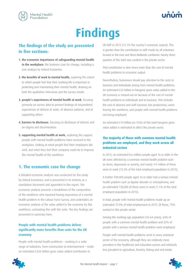<span id="page-7-0"></span>



## **Findings**

### **The findings of the study are presented in five sections:**

- 1. the economic importance of safeguarding mental health in the workplace: the business case for change, including a cost analysis by Oxford Economics
- 2. the benefits of work to mental health, exploring the extent to which people feel that their working life is important in protecting and maintaining their mental health, drawing on both the qualitative interviews and the survey results
- 3. people's experiences of mental health at work, focusing primarily on survey data to present findings of respondents' experiences of distress at work, of absence patterns, and of supporting others
- 4. barriers to disclosure, focusing on disclosure of distress and on stigma and discrimination
- 5. supporting mental health at work, exploring the support people with mental health problems have received in the workplace, looking at what people feel their employers did well, and what they feel their company could do to improve the mental health of the workforce

#### **1. The economic case for change**

A detailed economic analysis was conducted for this study by Oxford Economics, and is presented in its entirety as a standalone document and appended to this report. The economic analysis presents a breakdown of the composition of the workforce who reported having experience of a mental health problem in the Labour Force Survey, and undertakes an economic analysis of the value added to the economy by this workforce, contrasting this with the costs. The key findings are presented in summary here:

#### People with mental health problems deliver significantly more benefits than costs for the UK economy

People with mental health problems – working in a wide range of industries, from construction to entertainment – made an estimated £226-billion gross value added contribution to

UK GDP in 2015 (12.1% the country's economic output). This is greater than the contribution to GDP made by all industries located in the East and West Midlands combined. Nearly three quarters of the total was created in the private sector.

That contribution is nine times more than the cost of mental health problems to economic output.

Nevertheless, businesses should pay attention to the costs to business and individuals arising from mental health problems. An estimated £25 billion in foregone gross value added to the UK economy is missed out on because of the cost of mental health problems to individuals and to business. This includes the cost of absence and staff turnover, lost productivity, carers leaving the workforce, and people with mental health problems not being employed.

An estimated £19 billion (or 76%) of this total foregone gross value added is estimated to affect the private sector.

#### **The majority of those with common mental health problems are employed, and they work across all industrial sectors**

In 2015, an estimated 8.6 million people aged 16 or older in the UK were affected by a common mental health problem such as stress, depression or anxiety, and nearly 4.9 million of these were in work (15.3% of the total employed population in 2015).

A further 590,000 people aged 16 or older had a serious mental health problem such as bipolar disorder or schizophrenia, and an estimated 130,000 of these were in work (1.1% of the total employed population in 2015).

In total, people with mental health problems made up an estimated 15.9% of total employment in 2015. Of these, 75% worked in the private sector.

Among the working-age population (16–64 years), 64% of people with a common mental health problem and 26% of people with a serious mental health problem were employed.

People with mental health problems work in every industrial sector of the economy, although they are relatively more prevalent in the healthcare and education sectors and relatively less prevalent in agriculture, forestry, fishing and real estate.



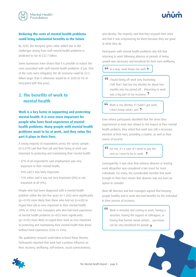

#### <span id="page-8-0"></span>**Reducing the costs of mental health problems could bring substantial benefits in the future**

By 2030, the foregone gross value added due to the challenges arising from staff mental health problems is predicted to rise to £32.7 billion.

Some businesses have shown that it is possible to reduce the costs associated with staff mental health problems. If just 10% of the costs were mitigated, the UK economy could be £3.3 billion larger than it otherwise would be in 2030 (0.1% of forecasted GDP that year).

### **2. The benefits of work to mental health**

**Work is a key factor in supporting and protecting mental health. It is even more important for people who have lived experience of mental health problems. Many people with mental health problems want to be at work, and they value the part it plays in their lives.**

A strong majority of respondents across the survey sample (n=2,019) said that their job and their being at work was important to protecting and maintaining their mental health:

- 47% of all respondents said employment was very important to their mental health;
- 39% said it was fairly important;
- 12% either said it was not very important (8%) or not important at all (4%).

People who had been diagnosed with a mental health problem within the last five years (n=1,265) were significantly (p=<0.05) more likely than those who had not (n=628) to regard their job as very important to their mental health (49% vs 43%). Line managers who also had lived experience of mental health problems (n=455) were significantly (p=>0.05) more likely to regard their work as very important to protecting and maintaining their mental health than those without lived experience (52% vs 43%).

The qualitative research undertaken echoed these themes. Participants reported that work had a positive influence on their recovery, wellbeing, self-esteem, social connectedness, and identity. The majority said that they enjoyed their work and that it was empowering for them because they are good at what they do.

Participants with mental health problems also felt that returning to work following absence or periods of being unwell was necessary and beneficial for their own wellbeing.

**In a way, work keeps me well. 9** 

 I found being off work very frustrating. I felt that I had lost my identity for about two months into my period off… Returning to work was a big part of my recovery.

 Work is my identity. If I hadn't got work, I don't know what I am!  $\bullet$ 

Even where participants identified that the stress they experienced at work was related to the impact of their mental health problem, they noted that work was still a necessary element of their lives, providing a routine, as well as their source of income.

 For me, it's a case of I need to pay the rent so I need to be in work<sup>9</sup>

Consequently, it was clear that sickness absence or leaving work altogether was considered a last resort for most individuals. For many, the considerable benefits that work brought to their lives meant that absence was not even an option to consider.

Most HR directors and line managers agreed that keeping people healthy and in work also had benefits for the individual in their process of recovery.



Work is stressful, but coming to work, having a structure, having the support of colleagues, or having that human social contact… you know, can be very beneficial for people.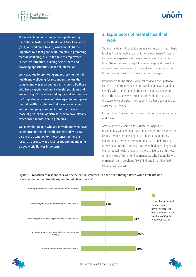<span id="page-9-0"></span>



The research findings complement guidelines by the National Institute for Health and Care Excellence (NICE) on workplace health, which highlight the important role that good work can play in promoting mental wellbeing, due to the role of employment in identity formation, building self-esteem and providing opportunities for social interaction.

Work was key to promoting and preserving mental health and wellbeing for respondents across the sample, and was regarded as even more so by those who have experienced mental health problems and are working. This is a key finding for making the case for 'proportionally universal' strategies for workplace mental health – strategies that include everyone within a company community but that focus on those at greater risk of distress, or who have already experienced mental health problems.

We know that people who are in work and who have experience of mental health problems play a vital part in the economy. For those consulted for this research, absence was a last resort, and maintaining a good work life was important.

### **3. Experiences of mental health at work**

The Mental Health Foundation defines distress at its most basic level as 'having trouble coping, for whatever reason'. Most of us therefore experience distress at some level from time to time. The responses highlight the wide range of distress that an employee can experience while at work, whether or not this is obvious or known to colleagues or managers. **Line managers with the conduct of distance that** 

Respondents to the survey were asked about their personal experiences of mental health and wellbeing at work, and to identify which statements from a list of options applied to them. The questions were split into three themes relating to the experience of distress; to supporting other people; and to absence from work.

Figures 1 and 2 present respondents' self-reported experience of distress.

Across the whole sample (n=2,019) the majority of respondents signified that they had at some time experienced distress, with 73% selecting 'I have been through times where I felt stressed, overwhelmed or had trouble coping, for whatever reason.' Among those who had been diagnosed with a mental health problem in the last five years, this rose to 88%. Nearly four in ten line managers who had no history of mental health problems (39%) indicated that they had experienced distress. **All manuforms** of

**All diagnosed with a MHP in last five years (n=1265) 88%**   $\Box$ I have been through **Line managers with no experience of MHP (n=628) 39%**  times when I have felt stressed, overwhelmed or had trouble coping, for **Line managers with lived experience of a MHP (n=455) 85%**  whatever reason**All who chose to disclose a MHP to an employer 93% (n=753) 89% All who chose not to disclose (n=634)** 

#### Figure 1: Proportion of respondents who selected the statement 'I have been through times when I felt stressed, overwhelmed or had trouble coping, for whatever reason'

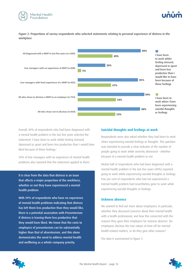



#### Figure 2: Proportions of survey respondents who selected statements relating to personal experience of distress in the workplace



Overall, 89% of respondents who had been diagnosed with a mental health problem in the last five years selected the statement 'I have been to work whilst feeling stressed, depressed or upset and been less productive than I would have liked because of these feelings.' **would** be a straight of the control of the control of the control of the control of the control of the control of the control of the control of the control of the control of the control of the control of the control of th If a critispondents who had been didghosed with **Durings Middle Hought** 

39% of line managers with no experience of mental health problems also reported that the statement applied to them.

It is clear from the data that distress is an issue that affects a major proportion of the workforce, whether or not they have experienced a mental health problem.

With 39% of respondents who have no experience of mental health problems indicating that distress has left them less productive than they would like, there is a potential association with Presenteeism if distress is leaving them less productive that they would have liked. We know that the costs to employers of presenteeism can be substantially higher than that of absenteeism, and this alone demonstrates the need to address mental health and wellbeing as a whole-company priority.

#### **Suicidal thoughts and feelings at work**

Respondents were also asked whether they had been to work when experiencing suicidal feelings or thoughts. This question was intended to provide a clear indicator of the number of people going to work while severely distressed – whether because of a mental health problem or not.

Nearly half of respondents who had been diagnosed with a mental health problem in the last five years (49%) reported going to work while experiencing suicidal thoughts or feelings. Five per cent of respondents who had not experienced a mental health problem had nevertheless gone to work while experiencing suicidal thoughts or feelings.

#### **Sickness absence**

We wanted to find out more about employees: in particular, whether they discussed concerns about their mental health with a health professional, and how this connected with the reasons they gave their employers for sickness absence. Do employees disclose the true nature of time off for mentalhealth-related matters, or do they give other reasons?

The data is summarised in figure 3.



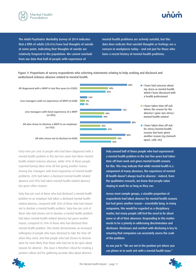

## **All diagnosed with a last**  $\theta$  **and**  $\theta$

The Adult Psychiatric Morbidity Survey of 2014 indicates that a fifth of adults (20.6%) have had thoughts of suicide at some point, indicating that thoughts of suicide are relatively frequent in the population. We cannot conclude from our data that half of people with experience of

mental health problems are actively suicidal, but this **problems are solutional assets a** data does indicate that suicidal thoughts or feelings are a **(n=455)**  concern in workplaces today – and not just for those who<br>. have a recent history of mental health problems.<br>———————————————————— **Line British School**<br>Line and Managers with the settlement of the settlement of the settlement of the settlement of the settlement o

Figure 3: Proportions of survey respondents who selecting statements relating to help seeking and disclosed and undisclosed sickness absence related to mental health



**I** is a concernstable  $\mathbf{A}$  is a concernstable  $\mathbf{A}$  is a concernstable  $\mathbf{A}$ 

Forty-nine per cent of people who had been diagnosed with a **I** mental health problem in the last five years had taken mental-<br>**In the amental health problem in the last five years had taken mental-<br><b>I** health-related sickness absence, while 45% of those people **in time off from w** reported having taken time off but giving another reason. Among line managers with lived experience of mental health problems, 43% had taken a disclosed mental-health-related absence and 39% had taken mental-health-related absence but given other reasons. **upset** and the paper

Sixty-four per cent of those who had disclosed a mental health problem to an employer had taken a disclosed mental-healthrelated absence, compared with 36% of those who had chosen not to disclose a mental health problem. Sixty-four per cent of those who had chosen not to disclose a mental health problem had taken mental-health-related absence but given another reason, compared to 34% of those who had disclosed their mental health problem. This clearly demonstrates an increased willingness of people who have disclosed to take the time off when they need, and that people who had chosen to disclose were far more likely than those who had not to be open about reasons for absence ; this issue is therefore critical for creating a positive culture and for gathering accurate data about absence.

Only around half of those people who had experienced a mental health problem in the last five years had taken time off from work and given mental health reasons for this. This may indicate that while mental health is a component of many absences, the experience of mental ill health doesn't always lead to absence – indeed, from the qualitative research, we know that people value staying in work for as long as they can.

Across most sample groups, a sizeable proportion of respondents had taken absence for mental health reasons but had given another reason – essentially lying. In many companies, this would be regarded as a disciplinary matter, but many people still feel the need to lie about some or all of their absences. Responding to this matter needs to be a priority in addressing discrimination and disclosure. Disclosure and comfort with disclosing is key to ensuring that companies can accurately assess the scale of the problem.

As one put it: "We are not in the position yet where you can phone in to work sick with a mental health issue."



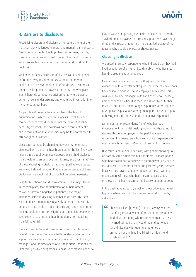<span id="page-12-0"></span>



#### **4. Barriers to disclosure**

Recognising distress and disclosing it to others is one of the most complex challenges in addressing mental health at work. Disclosure of a mental health problem is, for many people, considered as different to disclosure of other health concerns. What can we learn about why people either do or do not disclose?

We know that early disclosure of distress can enable people to find their way to calmer times without the need for health service involvement, and before distress becomes a mental health problem. However, for many, the workplace is an inherently competitive environment, where personal performance is under scrutiny and where we invest a lot into trying to be at our best.

For people with mental health problems, the fear of discrimination – which evidence suggests is well founded – can deter them from disclosure until the point of absolute necessity, by which time problems both in terms of health and in terms of work relationships may be too entrenched to achieve good outcomes.

Disclosure seems to be changing, however. Among those diagnosed with a mental health problem in the last five years nearly three out of every five surveyed (58%) had disclosed their problem to an employer in this time, and over half (54%) of those choosing to disclose had a net positive experience. However, it should be noted that a large percentage of these disclosures were not out of choice but perceived necessity.

Despite this, stigma and discrimination is still a major factor in the workplace; fear of discrimination or harassment, as well as previous negative experiences, are major inhibitory factors in deciding whether to disclose. This fear is justified: discrimination is relatively common, and so this understandably leads to a fear of disclosing, underpinning the feelings of shame and self-stigma that can inhibit people with lived experience of mental health problems from reaching their full potential.

There appears to be a 'disclosure premium': that those who have disclosed seem to have a better understanding of what support is available, and a better appreciation of it. Equally, managers and HR directors point out that disclosure is still the filter through which support has to pass, so companies need to look at ways of improving the disclosure experience and the 'payback' that it provides in terms of support. We have sought through this research to form a more detailed picture of the reasons why people disclose, or choose not to.

#### **Choosing to disclose**

We asked all survey respondents who indicated that they had lived experience of a mental health problem whether they had disclosed this to an employer.

Nearly three in five respondents (58%) who had been diagnosed with a mental health problem in the past five years had chosen to disclose it to an employer in this time. This was lower for line managers with lived experience (n=455), among whom 47% had disclosed. This is worthy of further research, but it may relate to age, experience or perceptions of employer expectations among managers, or the perception of having too much to lose to risk a negative experience.

Just under half of respondents (45%) who had been diagnosed with a mental health problem had chosen not to disclose this to an employer in the past five years. Among responding line managers who also had lived experience of mental health problems, 43% had chosen not to disclose.

Disclosure is not a binary decision, with people choosing to disclose to some employers but not others. Of those people who had chosen not to disclose to an employer, 35% had in fact disclosed at another time in the past five years, perhaps because they have changed employer or moved within an organisation. Of those who had chosen to disclose to an employer, 27% had chosen not to disclose at another point.

In the qualitative research, a lack of knowledge about what happens when one does disclose was often discussed by individuals:

 I haven't talked [to work] … I have always worried that if it goes in any kind of personnel record or any kind of written thing where someone might access my medical report so it would mean that I would have difficulties with getting another job or promotion or anything like [that], so I don't tend to talk about it.



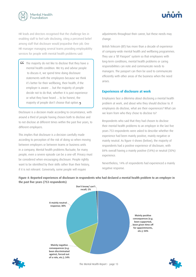

HR leads and directors recognised that the challenge lies in enabling staff to feel safe disclosing, citing a perceived belief among staff that disclosure would jeopardise their job. One HR manager managing several teams providing employability services for people with mental health problems said:

 The majority do not like to disclose that they have a mental health condition. We try and advise people to discuss it, we spend time doing disclosure statements with the employees because we think it's better for their wellbeing, their health, if the employer is aware … but the majority of people decide not to do that, whether it is past experience or what they have heard … to be honest, the majority of people don't choose that option.

Disclosure is a decision made according to circumstance, with around a third of people having chosen both to disclose and to not disclose at different times within the past five years, to different employers.

This implies that disclosure is a decision carefully made according to perception of the risk of doing so when moving between employers or between teams or business units in a company. Mental health problems fluctuate; for many people, even a severe episode can be a one-off. Privacy must be considered when encouraging disclosure. People rightly want to be identified by their skills rather than their history, if it is not relevant. Conversely, some people will require

adjustments throughout their career, but these needs may change.

British Telecom (BT) has more than a decade of experience of company-wide mental health and wellbeing programmes. They use a 'BT Passport' system so that employees with long-term conditions, mental health problems or caring responsibilities can note and communicate needs to managers. The passport can then be used to communicate efficiently with other areas of the business when the need arises.

#### **Experiences of disclosure at work**

Employees face a dilemma about disclosing a mental health problem at work, and about who they should disclose to. If employees do disclose, what are their experiences? What can we learn from who they chose to disclose to?

Respondents who said that they had chosen to disclose their mental health problems to an employer in the last five years 753 respondents were asked to describe whether the experience had been mainly positive, mainly negative or mainly neutral. As figure 4 shows (below), the majority of respondents had a positive experience of disclosure, with 84% overall having a mainly positive (54%) or neutral (30%) experience.

Nevertheless, 14% of respondents had experienced a mainly negative response.



Figure 4: Reported experiences of disclosure in respondents who had declared a mental health problem to an employer in the past five years (753 respondents)



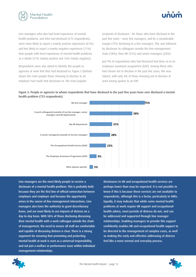

Line managers who also had lived experience of mental health problems, and who had disclosed (215 respondents), were more likely to report a mainly positive experience (61%) and less likely to report a mainly negative experience (11%) than people with lived experience of mental health problems as a whole (51% mainly positive and 16% mainly negative).

Respondents were also asked to identify the people or agencies at work that they had disclosed to. Figure 5 (below) shows the main people those choosing to disclose to an employer had made that disclosure to. The most popular

recipients of disclosure – for those who have disclosed in the past five years – were line managers, and by a considerable margin (75% disclosing to a line manager). This was followed by disclosure to colleagues outside the line-management chain (58%), then HR (31%) and senior managers (28%).

Just 9% of respondents who had disclosed had done so to an employee assistance programme (EAP). Among those who had chosen not to disclose in the past five years, this was halved, with only 4% of those choosing not to disclose at work having spoken to an EAP.

#### Figure 5: People or agencies to whom respondents that have disclosed in the past five years have ever disclosed a mental health problem (753 respondents)



Line managers are the most likely people to receive a disclosure of a mental health problem. This is probably both because they are the first line of official connection between employee and employer and because the opportunity arises in the course of line-management interactions. Line managers also have the authority to grant discretionary leave, and are most likely to see impacts of distress on a day-to-day basis. With 58% of those disclosing discussing their mental health with a work colleague outside the chain of management, the need to ensure all staff are comfortable and capable of discussing distress is clear. There is a strong argument for ensuring that promoting and protecting mental health at work is seen as a universal responsibility, and not just a welfare or performance issue within individual management relationships.

Disclosures to HR and occupational health services are perhaps lower than may be expected. It is not possible to know if this is because these services are not available to respondents, although this is a factor, particularly in SMEs. Equally, it may indicate that while some mental health problems at work require HR support and occupationalhealth advice, most periods of distress do not, and can be addressed and supported through line manager relationships. Enabling managers to provide this support confidently enables HR and occupational health support to be directed to the management of complex cases, as well as making the early and effective addressing of distress feel like a more normal and everyday process.



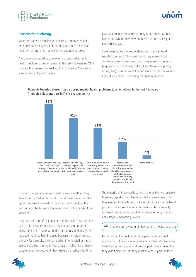



#### **Reasons for disclosing**

What motivates an employee to disclose a mental health problem? Do employees feel that they are able to do so of their own accord, or is it a reaction to external necessity?

The survey also asked people who had disclosed a mental health problem to their employer in the last five years (n=754) to share their reasons for making that disclosure. This data is summarised in figure 6, below.

place and manner of disclosure may be taken out of their hands, and where they may not have the time or insight to plan what to say.

Seventeen per cent of respondents who had disclosed selected the reason 'because the consequences of not disclosing were worse than the consequences of disclosing (e.g. because I was being bullied, I was facing disciplinary action, etc.)'. This indicates that for some people disclosure is a last-ditch option – something that had to be done.





For many people, choosing to disclose was something they wanted to do, 55% of those who had disclosed selecting the option 'because I wanted to'. This is an ideal situation, the decision and the terms of disclosure being in the hands of the individual.

Forty-one per cent of respondents had disclosed because they had to – for instance, because they needed time off or an adjustment to be made. Around a third of respondents (31%) reported that they had disclosed because they didn't have a choice – for example, they were taken into hospital or had an episode of distress at work. These results highlight that many people do not disclose until they reach crisis, where the time,

The majority of those participating in the qualitative research, however, reported that they didn't tell anyone in work until they needed to take time off as a result of their mental health problem. Only a small number of participants had openly disclosed their experience when applying for jobs, or at an early stage of becoming unwell.

#### G They weren't aware until they got the medical report.

For almost all the qualitative participants with personal experience of having a mental health problem, disclosure was described as reactive, with almost all participants noting that they didn't disclose until they reached a crisis point in their

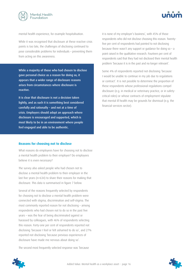



mental health experience, for example hospitalisation.

While it was recognised that disclosure at these reactive crisis points is too late, the challenges of disclosing continued to pose considerable problems for individuals – preventing them from acting on this awareness.

While a majority of those who had chosen to disclose gave personal choice as a reason for doing so, it appears that a wider range of disclosure reasons arises from circumstances where disclosure is reactive.

It is clear that disclosure is not a decision taken lightly, and as such it is something best considered carefully and rationally – and not at a time of crisis. Employers should adopt an approach where disclosure is encouraged and supported, which is most likely to be in an environment where people feel engaged and able to be authentic.

#### **Reasons for choosing not to disclose**

What reasons do employees have for choosing not to disclose a mental health problem to their employer? Do employees believe it is even necessary?

The survey also asked people who had chosen not to disclose a mental health problem to their employer in the last five years (n=634) to share their reasons for making that disclosure. This data is summarised in figure 7 below.

Several of the reasons frequently selected by respondents for choosing not to disclose a mental health problem were connected with stigma, discrimination and self-stigma. The most commonly reported reason for not disclosing – among respondents who had chosen not to do so in the past five years – was the fear of being discriminated against or harassed by colleagues, with 46% of respondents selecting this reason. Forty-one per cent of respondents reported not disclosing 'because I feel or felt ashamed to do so', and 27% reported not disclosing 'because previous experiences of disclosure have made me nervous about doing so'.

The second most frequently selected response was 'because



Some 4% of respondents reported not disclosing 'because I would be unable to continue in my job due to regulations or contract'. It is not possible to determine the proportion of these respondents whose professional regulations compel disclosure (e.g. in medical or veterinary practice, or in safetycritical roles) or whose contracts of employment stipulate that mental ill health may be grounds for dismissal (e.g. the financial services sector).



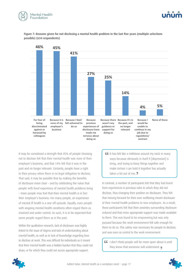



Figure 7: Reasons given for not disclosing a mental health problem in the last five years (multiple selections possible) (634 respondents)



It may be considered a strength that 45% of people choosing not to disclose felt that their mental health was none of their employer's business, and that 14% felt that it was in the past and no longer relevant. Certainly, people have a right to their privacy when there is no legal obligation to disclose. That said, it may be possible that by making the benefits of disclosure more clear – and by celebrating the value that people with lived experience of mental health problems bring – more people may feel that their mental health is in fact their employer's business. For many people, an experience of mental ill health is a one-off episode. Equally, even people with ongoing mental health conditions often regard them as resolved and under control. As such, it is to be expected that some people regard them as in the past.

Within the qualitative research, lack of disclosure was highly linked to the issue of stigma and lack of understanding about mental health, as well as to lack of knowledge regarding how to disclose at work. This was difficult for individuals as it meant that their mental health was a hidden burden that they could not share, or for which they could not access appropriate support.

GG It has felt like a millstone around my neck in many ways because obviously in itself it [depression] is tiring, and trying to keep things together and make certain I can hold it together has actually taken a lot out of me. **2** 

In contrast, a number of participants felt that they had learnt from experiences in previous roles in which they did not disclose, thus changing their position on disclosure. They felt that moving forward for their own wellbeing meant disclosure of their mental health problems to new employers. As a result, those participants felt that their anxieties surrounding disclosure reduced and that more appropriate support was made available to them. This was found to be empowering but was only pursued because the work environment felt safe enough for them to do so. This safety was necessary for people to disclose, and was seen as central to the work environment.

 I don't think people will be more open about it until they know that someone will understand.

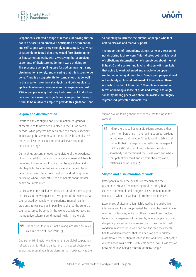

Respondents selected a range of reasons for having chosen not to disclose to an employer. Anticipated discrimination and self-stigma were very strongly represented. Nearly half of respondents feared that they would face discrimination or harassment at work, with 27% saying that a previous experience of disclosure made them wary of doing so. This presents a compelling case for addressing stigma and discrimination strongly, and ensuring that this is seen to be done. There is an opportunity for companies that do well in this area to make their standpoint and policies clear to applicants who may have previous bad experiences. With 25% of people saying that they had chosen not to disclose because there wasn't any guidance or support for doing so, it should be relatively simple to provide this guidance – and

#### **Stigma and discrimination**

Efforts to address stigma and discrimination on grounds of mental health have been in place in the UK for over a decade. While progress has certainly been made, especially in increasing the awareness of mental ill health and distress, there is still some distance to go to achieve sustained behaviour change.

Our findings present an up-to-date picture of the experience of work-based discrimination on grounds of mental ill health. However, it is important to state that the qualitative findings also highlight the role that wider societal attitudes play in determining workplace discrimination – and self-stigma in particular, where social attitudes and beliefs about mental health are internalised.

Participants in the qualitative research noted that the stigma that exists in the workplace is a symptom of the wider social stigma faced by people who experience mental health problems. It was seen as impossible to change the culture of stigma observed by some in the workplace without tackling the negative culture around mental health more widely.

**CG** The fact [is] that this is not a workplace issue so much as it is a societal-level issue.

One senior HR director working for a large global corporation reflected that, for their organisation, the biggest obstacle to addressing mental health problems in the workplace was the



The proportion of respondents citing shame as a reason for not disclosing is of concern. This indicates both a high level of self-stigma (internalisation of stereotypes about mental ill health) and a concerning level of distress – it is unlikely that going to work ashamed and unable to be open is conducive to being at one's best. Simply put, people should not routinely go to work ashamed of themselves. There is much to be learnt from the LGBT-rights movement in terms of building a sense of pride and strength through solidarity among peers who share an invisible, but highly stigmatised, protected characteristic.

stigma around talking about how people are feeling in this context.

**I think there is still quite a big stigma around either** they [members of staff] are feeling stressed, anxious or depressed but they don't really want to talk about that with their manager and equally the managers I think are still reluctant to or quite nervous about, oh somebody has mentioned the stress word and where that potentially could end up from the employeerelations side of things. **9** 

#### **Stigma and discrimination at work**

Participants in both the qualitative research and the quantitative survey frequently reported that they had experienced mental health stigma or discrimination in the workplace. What can we learn from these experiences?

Experiences of discrimination highlighted by the qualitative interviews and focus groups varied. For some, the discrimination was from colleagues, while for others it arose from structural factors or management – for example, where people had faced disciplinary procedures for absence due to their mental health condition. Many of those who had not disclosed their mental health condition reported that their decision not to disclose arose from a fear of stigmatisation in the workplace. Anticipated discrimination was a factor, with fears such as 'Will I lose my job because of this?' being a concern for many people.



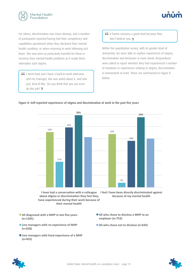



For others, discrimination was more obvious, and a number of participants reported having had their competency and capabilities questioned when they disclosed their mental health condition, or when returning to work following sick leave. This was seen as particularly harmful for those in recovery from mental health problems as it made them internalise such stigma.

 I went back and I have a back-to-work interview and my manager, she was awful about it, and was just, kind of like, 'Do you think that you can even do this job?' 9

GG It harms recovery a great deal because they don't believe you.

Within the quantitative survey, with its greater level of anonymity, we were able to explore experiences of stigma, discrimination and disclosure in more detail. Respondents were asked to report whether they had experienced a number of situations or experiences relating to stigma, discrimination or harassment at work. These are summarised in figure 8 below.

#### Figure 8: Self-reported experiences of stigma and discrimination at work in the past five years



I have had a conversation with a colleague I feel I have been directly discriminated against about stigma or discrimination they feel they have experienced during their work because of their mental health

**because of my mental health**  $\mathbf{f}$ 

- All diagnosed with a MHP in last five years **(n=1265)**   $\sum_{i=1}^{n}$
- **Line (n=628)** Line managers with no experience of MHP
- $\blacksquare$  Line managers with lived experience of a MHP  $(n=455)$ **I have had a conversa-on with a colleague**
- All who chose to disclose a MHP to an employer (n=753)
- All who chose not to disclose (n=634)



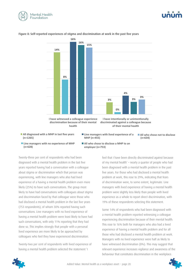





#### Figure 8: Self-reported experiences of stigma and discrimination at work in the past five years

- All diagnosed with a MHP in last five years **(n=1265)**
- **Line managers with lived experience of a MHP (n=455)**

**All who chose to disclose a MHP to an** 

 $\blacksquare$  All who chose to disclose a ivitial to an

- **All who chose not to disclose**  $(n=634)$
- **Line managers with no experience of MHP (n=628) employer** (n=753) **discriming Line managers with no experience of MHP**  $\blacksquare$  **All who c**  $(n=628)$

Twenty-three per cent of respondents who had been diagnosed with a mental health problem in the last five years reported having had a conversation with a colleague about stigma or discrimination which that person was experiencing, with line managers who also had lived experience of a having a mental health problem even more likely (25%) to have such conversations. The group most likely to have had conversations with colleagues about stigma and discrimination faced by that colleague were those who had disclosed a mental health problem in the last five years (753 respondents), of whom 30% reported having such conversations. Line managers with no lived experience of having a mental health problem were least likely to have had such conversations, with only 11% reporting that they had done so. This implies strongly that people with a personal lived experience are more likely to be approached by colleagues who feel they have experienced discrimination. **MHP** (1955) ementing, with mi<del>e</del> **I** about discrimination of the second property of the second property of the second property of the second property of the second property of the second property of the second property of the second property of the second property igma or discrimination which that perso encing with line managers who also had li **0% I have witnessed a colleague experience**   $\gamma$  co discriminated because the control of the control of the control of the collection of the control of the control o<br>Collection of the control of the control of the control of the control of the control of the control of the

> Twenty-two per cent of respondents with lived experience of having a mental health problem selected the statement 'I

feel that I have been directly discriminated against because of my mental health' – nearly a quarter of people who had gue been diagnosed with a mental health problem in the past five years. For those who had disclosed a mental health problem at work, this rose to 29%, indicating that fears of discrimination were, to some extent, legitimate. Line managers with lived experience of having a mental health problem were slightly less likely than people with lived experience as a whole to report direct discrimination, with 19% of these respondents selecting this statement.

> Some 14% of respondents who had been diagnosed with a mental health problem reported witnessing a colleague experiencing discrimination because of their mental health. This rose to 16% both for managers who also had a lived experience of having a mental health problem and for all those who had disclosed a mental health problem at work. Managers with no lived experience were half as likely to have witnessed discrimination (8%). This may suggest that relevant experience increases vigilance and awareness of the behaviour that constitutes discrimination in the workplace.

![](_page_20_Picture_12.jpeg)

![](_page_20_Picture_14.jpeg)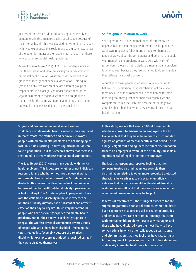![](_page_21_Picture_0.jpeg)

![](_page_21_Picture_1.jpeg)

Just 2% of the sample admitted to having intentionally or unintentionally discriminated against a colleague because of their mental health. This was doubled to 4% for line managers with lived experience. This could relate to a greater awareness of the potential impact of their actions as managers on those who experience mental health problems.

Across the sample (n=2,019), 17% of respondents indicated that their current workplace 'treats stigma or discrimination on mental health grounds as severely as discrimination on grounds of race, gender or sexual orientation'. This figure (around a fifth) was consistent across different groups of respondents. This highlights an under appreciation of the legal requirement to regard discrimination on grounds of mental health the same as discrimination in relation to other protected characteristics defined in the Equality Act.

#### **Self-stigma in relation to work**

Self-stigma refers to the internalisation of commonly held negative beliefs about people with mental health problems. As shown in figures 8 (above) and 9 (below), there are a range of views about the competence and potential of people with mental health problems at work. And with 41% of respondents choosing not to disclose a mental health problem to an employer because they feel ashamed to do so, it is clear that self-stigma is a valid concern.

A number of those people interviewed related coming to believe the stigmatising thoughts others might have about them because of their mental health condition, with some reporting that they questioned their own capabilities and competence within their job role because of the negative attitudes that others had when they disclosed their mental health condition.

Stigma and discrimination are alive and well in workplaces; while mental health awareness has improved in recent years, the attitudes and behaviours towards people with mental health problems are not changing as fast. This is unsurprising – addressing discrimination can take a generation – but this research shows that there is a clear need to actively address stigma and discrimination.

The Equality Act (2010) covers many people with mental health problems. This is because, whether or not individuals recognise it, and whether or not they disclose at work, most mental health problems meet the Act's definition of disability. This means that direct or indirect discrimination because of mental-health-related disability – perceived or actual – is illegal. The Act also applies to people who have met the definition of disability in the past, whether or not their disability currently has a substantial and adverse effect on their day-to-day life. This is very important for people who have previously experienced mental health problems, and for their ability to seek early support in relapse. The Act also covers discrimination towards carers of people who are or have been disabled – meaning that carers treated less favourably because of a relative's disability, for example, are as entitled to legal redress as if they were disabled themselves.

In this study, we see that nearly 30% of those people who have chosen to disclose to an employer in the last five years feel that they have been directly discriminated against on grounds of mental health in that period. This is a hugely significant finding, because direct discrimination (where an employer is aware of the disability) presents a significant risk of legal action for the employer.

The fact that respondents reported feeling that their company treated discrimination less severely than discrimination relating to other, more recognised protected characteristics – such as race or sexual orientation – indicates that parity for mental-health-related disability is still some way off, and that measures to encourage the reporting of discrimination may be helpful.

In terms of effectiveness, the strongest evidence for antistigma programmes is for social contact, where the direct, lived experience of a peer is used to challenge attitudes and behaviours. We can see from our findings that staff with mental health problems – especially managers and those who have disclosed – are the most likely to have conversations in which other colleagues discuss stigma and discrimination that they feel they have faced. It is a further argument for peer support, and for the celebration of diversity in mental health as a business asset.

![](_page_21_Picture_12.jpeg)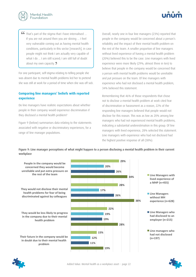![](_page_22_Picture_0.jpeg)

![](_page_22_Picture_1.jpeg)

 That's part of the stigma that I have internalised … If you are not around then you are skiving … I feel very vulnerable coming out as having mental health conditions, particularly in this sector [research], in case people might not think I am actually very capable of what I do ... I am still scared; I am still full of doubt about my own capacity. **)** 

For one participant, self-stigma relating to telling people she was absent due to mental health problems led her to pretend she was still at work for a period of time when she was off sick.

#### **Comparing line managers' beliefs with reported experience**

Do line managers have realistic expectations about whether people in their company would experience discrimination if they disclosed a mental health problem?

Figure 9 (below) summarises data relating to the statements associated with negative or discriminatory experiences, for a range of line manager populations.

Overall, nearly one in four line managers (23%) reported that people in the company would be concerned about a person's reliability and the impact of their mental health problem on the rest of the team. A smaller proportion of line managers without lived experience of having a mental health problem (20%) believed this to be the case. Line managers with lived experience were more likely (29%; almost three in ten) to believe that people in the company would be concerned that a person with mental health problems would be unreliable and put pressure on the team. Of line managers with experience who had not disclosed a mental health problem, 34% believed this statement.

Remembering that 46% of those respondents that chose not to disclose a mental health problem at work cited fear of discrimination or harassment as a reason, 22% of the responding line managers believed that people would not disclose for this reason. This was as low as 20% among line managers who had not experienced mental health problems, indicating a substantial underestimation in this group. Of line managers with lived experience, 28% selected this statement. Line managers with experience who had not disclosed had the highest positive response of all (38%).

Figure 9: Line manager perceptions of what might happen to a person disclosing a mental health problem in their current workplace

![](_page_22_Figure_10.jpeg)

![](_page_22_Picture_11.jpeg)

![](_page_22_Picture_13.jpeg)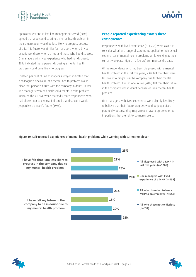![](_page_23_Picture_0.jpeg)

![](_page_23_Picture_1.jpeg)

Approximately one in five line managers surveyed (20%) agreed that a person disclosing a mental health problem in their organisation would be less likely to progress because of this. This figure was similar for managers who had lived experience, those who had not, and those who had disclosed. Of managers with lived experience who had not disclosed, 28% indicated that a person disclosing a mental health problem would be unlikely to progress.

Thirteen per cent of line managers surveyed indicated that a colleague's disclosure of a mental health problem would place that person's future with the company in doubt. Fewer line managers who had disclosed a mental health problem indicated this (11%), while markedly more respondents who had chosen not to disclose indicated that disclosure would jeopardise a person's future (19%).

#### **People reported experiencing exactly these consequences**

Respondents with lived experience (n=1,265) were asked to consider whether a range of statements applied to their actual experiences of mental health problems while working at their current workplace. Figure 10 (below) summarises the data.

Of the respondents who had been diagnosed with a mental health problem in the last five years, 23% felt that they were less likely to progress in the company due to their mental health problem. Around one in five (20%) felt that their future in the company was in doubt because of their mental health problem.

Line managers with lived experience were slightly less likely to believe that their future progress would be jeopardised – potentially because they may already have progressed or be in positions that are felt to be more secure.

![](_page_23_Figure_8.jpeg)

#### Figure 10: Self-reported experiences of mental health problems while working with current employer

![](_page_23_Picture_10.jpeg)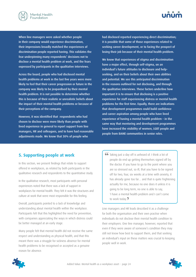<span id="page-24-0"></span>![](_page_24_Picture_0.jpeg)

When line managers were asked whether people in their company would experience discrimination, their impressions broadly matched the experiences of discrimination people reported having. This validates the fear underpinning many respondents' decisions not to disclose a mental health problem at work, and the fears expressed by participants in the qualitative interviews.

Across the board, people who had disclosed mental health problems at work in the last five years were more likely to feel that their career progression or future in the company was likely to be jeopardised by their mental health problem. It is not possible to determine whether this is because of their realistic or unrealistic beliefs about the impact of their mental health problems or because of their perceptions of the company.

However, it was identified that respondents who had chosen to disclose were more likely than people with lived experience in general to report support from line managers, HR and colleagues, and to have had reasonable adjustments made. We know that 30% of people who

had disclosed reported experiencing direct discrimination; it is possible that some of those experiences related to seeking career development, or to facing the prospect of losing their job because of their mental health problem.

We know that experiences of stigma and discrimination have a major effect, through self-stigma, on an individual's future attitudes to disclosure and helpseeking, and on their beliefs about their own abilities and potential. We see this anticipated discrimination in the reasons outlined for not disclosing, and through the qualitative interviews. These factors underline how important it is to ensure that disclosing is a positive experience for staff experiencing distress or mental health problems for the first time. Equally, there are indications that development programmes could build confidence and career aspiration among people who have lived experience of having a mental health problem – in the same way that mentoring and development programmes have increased the visibility of women, LGBT people and people from BAME communities in senior roles.

#### **5. Supporting people at work**

In this section, we present findings that relate to support offered in workplaces, as related by both participants in the qualitative research and respondents to the quantitative study.

In the qualitative research, most participants with personal experiences noted that there was a lack of support in workplaces for mental health. They felt it was the structures and culture at work that were most responsible for this feeling.

Overall, participants pointed to a lack of knowledge and understanding about mental health within the workplace. Participants felt that this highlighted the need for prevention, with companies appreciating the ways in which distress could be better managed at an early stage.

Many people felt that mental health did not receive the same respect and understanding as physical health, and that this meant there was a struggle for sickness absence for mental health problems to be recognised or accepted as a genuine reason for absence.

GG Taking just a day off is unheard of. I think a lot of people do end up getting themselves signed off by the doctor. If you have to go to the point where you are so stressed out, so ill, that you have to be signed off for two, four, six weeks at a time with anxiety, it has already gone too far... and that is quite frightening actually for me, because no one does it unless it is going to be long term, no one is able to say, 'I have a mental health problem and I can't come to work today. **2** 

Line managers and HR leads described it as a challenge for both the organisation and their own practise when individuals do not disclose their mental health condition to their employers. One line manager, however, reported that even if they were aware of someone's condition they may still not know how best to support them, and that seeking an individual's input on these matters was crucial to keeping people well in work.

![](_page_24_Picture_14.jpeg)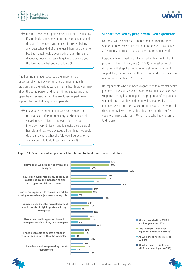![](_page_25_Picture_0.jpeg)

**If** it is not a well-worn path some of this stuff. You know, if somebody comes to you and starts on day one and they are in a wheelchair, I think it is pretty obvious and clear what kind of challenges [there] are going to be. But mental health, even saying [that] this is the diagnosis, doesn't necessarily guide you or give you the tools as to what you need to do. **2** 

Another line manager described the importance of understanding the fluctuating nature of mental health problems and the various ways a mental health problem may affect the same person at different times, suggesting that open, frank discussions with the employee helped them to support their work during difficult periods:

 I have one member of staff who has confided in me that she suffers from anxiety, so she finds public speaking very difficult – and even, for a period, interviews very difficult – and it is quite a core part of her role and so… we discussed all the things we could do and she chose what she felt would be best for her and is now able to do these things again.  $\bullet$ 

#### **Support received by people with lived experience**

For those who do disclose a mental health problem, from where do they receive support, and do they feel reasonable adjustments are made to enable them to remain in work?

Respondents who had been diagnosed with a mental health problem in the last five years (n=1265) were asked to select statements that applied to them in relation to the type of support they had received in their current workplace. This data is summarised in figure 11, below.

Of respondents who had been diagnosed with a mental health problem in the last five years, 34% indicated 'I have been well supported by my line manager'. The proportion of respondents who indicated that they had been well supported by a line manager was far greater (50%) among respondents who had chosen to disclose a mental health problem in the last five years (compared with just 17% of those who had chosen not to disclose).

#### Figure 11: Experience of support in relation to mental health in current workplace

![](_page_25_Figure_10.jpeg)

![](_page_25_Picture_11.jpeg)

![](_page_25_Picture_12.jpeg)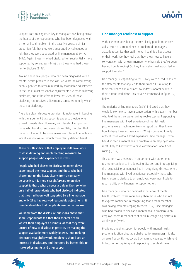![](_page_26_Picture_0.jpeg)

![](_page_26_Picture_1.jpeg)

Support from colleagues is key to workplace wellbeing across the board: of the respondents who had been diagnosed with a mental health problem in the past five years, a similar proportion felt that they were supported by colleagues as felt that they were supported by line managers (32% vs 34%). Again, those who had disclosed felt substantially more supported by colleagues (44%) than those who had chosen not to disclose (21%).

Around one in five people who had been diagnosed with a mental health problem in the last five years indicated having been supported to remain in work by reasonable adjustments to their role. Most reasonable adjustments are made following disclosure, and it therefore follows that 29% of those disclosing had received adjustments compared to only 9% of those not disclosing.

There is a clear 'disclosure premium' to note here, in keeping with the argument that support is easier to provide when a need is made clear. However, with levels of support for those who had disclosed never above 50%, it is clear that there is still a job to be done across workplaces to enable and incentivise disclosure through more clearly defined benefits.

These results indicate that employers still have work to do in defining and implementing measures to support people who experience distress.

People who had chosen to disclose to an employer experienced the most support, and those who had chosen not to, the least. Clearly, from a company perspective, it is more straightforward to provide support to those whose needs are clear. Even so, when only half of respondents who had disclosed indicated that they had been well supported by a line manager, and only 29% had received reasonable adjustments, it is understandable that people choose not to disclose.

We know from the disclosure questions above that some respondents felt that their mental health wasn't their employer's business, or that they were unsure of how to disclose in practice. By making the support available more widely known, and making disclosure straightforward, employers should see an increase in disclosures and therefore be better able to make adjustments and offer support.

#### **Line manager readiness to support**

With line managers being the most likely people to receive a disclosure of a mental health problem, do managers actually recognise that staff mental health is a key aspect of their work? Do they feel that they know how to have a conversation with a team member who has said they've been having trouble coping? Do they themselves feel supported to support their staff?

Line managers responding to the survey were asked to select the statements that applied to them from a list relating to their confidence and readiness to address mental health in their current workplace. This data is summarised in figure 12, below.

The majority of line managers (65%) indicated that they would know how to have a conversation with a team member who told them they were having trouble coping. Responding line managers with lived experience of mental health problems were much more likely to report that they knew how to have these conversations (72%), compared to only 60% of those without lived experience. Line managers who had disclosed a mental health problem to an employer were most likely to know how to have conversations about not coping (81%).

This pattern was repeated in agreement with statements related to confidence in addressing distress, and in recognising the responsibility a manager has in recognising distress, where line managers with lived experience, especially those who had chosen to disclose to an employer, were most likely to report ability or willingness to support others.

Line managers who had personal experience of mental health problems were more likely than those who had not to express confidence in recognising that a team member was having problems coping (67% vs 51%). Line managers who had chosen to disclose a mental health problem to an employer were most confident of all in recognising distress in a colleague (79%).

Providing ongoing support for people with mental health problems is often cited as a challenge for managers; it is also an area frequently not covered by training courses, which tend to focus on recognising and responding to acute distress.

![](_page_26_Picture_15.jpeg)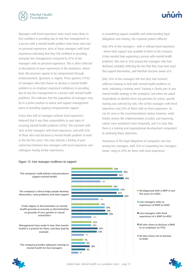![](_page_27_Picture_0.jpeg)

Managers with lived experience were much more likely to feel confident in providing day-to-day line management to a person with a mental health problem than those who had no personal experience, 66% of those managers with lived experience indicating that they felt confident in providing everyday line management compared to 47% of line managers with no personal experience. This is often reflected in descriptions of poor experiences in the workplace, where basic HR processes appear to be compromised through embarrassment, ignorance or stigma. Three quarters (75%) of managers who had chosen to disclose a mental health problem to an employer expressed confidence in providing day-to-day line management to a person with mental health problems. This indicates that this population of managers may be in a prime position to advise and support management peers in providing ongoing compassionate support.

Fewer than half of managers without lived experience believed that it was their responsibility to spot signs of recurring mental health problems (45%). This contrasts with 56% of line managers with lived experience, and with 63% of those who had disclosed a mental health problem at work in the last five years. This may indicate a feeling of peer connection between line managers with lived experience and colleagues having similar experiences.

![](_page_27_Picture_3.jpeg)

In considering support available and understanding legal obligations and training, the response pattern differed.

Only 39% of line managers – with or without lived experience – knew what support was available to them in the company if they needed help supporting a person with mental health problems. This rose to 52% among line managers who had disclosed, probably reflecting the fact that they may have used that support themselves, and therefore become aware of it.

Only 10% of line managers felt that they had received sufficient training to deal with mental health problems at work, indicating a training need. Training is clearly part of any mental health strategy in the workplace, but when we asked respondents to identify three top priorities for action, specific training was selected by only 18% of line managers with lived experience and 22% of those with no lived experience. As can be seen in the recommendations below, however, wider holistic actions like implementation of policy and improving culture were prioritised more frequently, and it is clear that there is a training and organisational development component to achieving these objectives.

Awareness of the legal obligations of companies was low among line managers, with 35% of responding line managers aware, rising to 39% for those with lived experience.

![](_page_27_Figure_8.jpeg)

#### Figure 12: Line manager readiness to support

![](_page_27_Picture_10.jpeg)

![](_page_27_Picture_12.jpeg)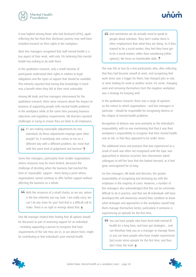![](_page_28_Picture_0.jpeg)

![](_page_28_Picture_1.jpeg)

It was highest among those who had disclosed (49%), again reflecting the fact that their disclosure journey may well have included research on their rights in the workplace.

Most line managers recognised that staff mental health is a key aspect of their work, with only 3% believing that mental health has nothing to do with them.

In the qualitative research, only a small minority of participants understood their rights in relation to legal obligations and the types of support that should be available. This minority reported that having that knowledge in hand was a benefit when they felt at their most vulnerable.

Among HR leads and line managers interviewed for the qualitative research, there were concerns about the impact on business of supporting people with mental health problems in the workplace while at the same time pursuing business objectives and regulatory requirements. HR directors reported challenges in trying to ensure they act fairly to all employees.

 If I am making reasonable adjustments for one individual, do these adjustments impinge upon other people? Or, if somebody else comes to me on a different day with a different problem, do I treat that with the same kind of judgement and fairness? **9** 

Some line managers, particularly from smaller organisations where resources may be more limited, discussed the challenge of deciding when the business had reached the limit of 'reasonable' support – there being a point where organisations cannot continue to offer further support without affecting the business as a whole.

66 with the resources of a small charity, as we are, where is the line whereby you say, look, I am really sorry, we can't do any more for you? And that is a difficult call to make. There is no right or wrongs about that.

One HR manager related their feeling that all options should be discussed as part of assessing support for an individual – including supporting a person to recognise that base requirements of the role they are in, or are absent from, might be contributing to that individual's poor mental health.

66 And sometimes we do actually need to speak to people about retention. They don't realise there is other employment than what they are doing. So if they trained to be a social worker, they feel they have got to be a social worker, rather than considering [other options]. We focus on transferable skills. **2** 

This was felt as true by a few participants who, after reflecting that they had become unwell at work, and recognising that work stress was a trigger for them, had changed jobs or role, or were looking for work in another sector. For some, changing work and removing themselves from the negative workplace was a strategy for keeping well.

In the qualitative research, there was a range of opinions on the extent to which organisations – and line managers in particular – should be responsible for recognising distress or the relapse of mental health problems.

Recognition of distress was seen primarily as the individual's responsibility, with no one mentioning that that it was their workplace's responsibility to recognise that their mental health was at risk, or that they appeared to be under stress.

The additional stress and pressure that was experienced as a result of work was often not recognised until the topic was approached or absence occurred. One interviewee asked colleagues to tell her boss that she looked stressed, as it had gone unrecognised for so long.

For line managers, HR leads and directors, the greater responsibility of recognising and disclosing lay with the employee in the majority of cases. However, a number of line managers also acknowledged that this can be extremely difficult to do in practice, and that not all individuals will have developed the self-awareness around their condition to know what strategies and approaches in the workplace would help them manage themselves better, particularly if someone is experiencing an episode for the first time.

 You can have people who have lived with mental ill health for a long time, and have got strategies… and can therefore help you as a manager to manage them, or you can have people who have maybe experienced [an] acute stress episode for the first time, and they don't have the tools.

![](_page_28_Picture_17.jpeg)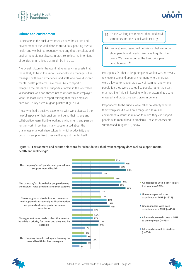![](_page_29_Picture_0.jpeg)

#### **Culture and environment**

Participants in the qualitative research saw the culture and environment of the workplace as crucial to supporting mental health and wellbeing, frequently reporting that the culture and environment did not always, in practice, reflect the intentions of policies or initiatives that might be in place.

The overall picture in the quantitative research suggests that those likely to be in the know – especially line managers, line managers with lived experience, and staff who have disclosed mental health problems – are more likely to report or recognise the presence of supportive factors in the workplace. Respondents who had chosen not to disclose to an employer were the least likely to report thinking that their employer does well in key areas of good practice (figure 13) .

Those who had a positive experience with work discussed the helpful aspects of their environment being their strong and collaborative team, flexible working environment, and passion for the work. In contrast, many people talked about the challenges of a workplace culture in which productivity and outputs were prioritised over wellbeing and mental health.

- GC It's the working environment that I find hard sometimes, not the actual work itself.  $\rightarrow$
- **66** [We are] so obsessed with efficiency that we forgot about people and needs… We have forgotten the basics. We have forgotten the basic principles of being human... **2**

Participants felt that to keep people at work it was necessary to create a safe and open environment where mistakes were allowed to happen as a way of learning, and where people felt they were treated like people, rather than part of a machine. This is in keeping with the factors that create engaged and productive workforces in general.

Respondents to the survey were asked to identify whether their workplace did well on a range of cultural and environmental issues in relation to which they can support people with mental health problems. These responses are summarised in figure 13, below.

Figure 13: Environment and culture selections for 'What do you think your company does well to support mental health and wellbeing?'

![](_page_29_Figure_11.jpeg)

![](_page_29_Picture_12.jpeg)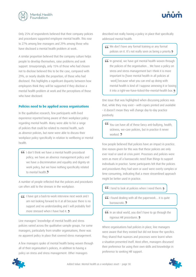![](_page_30_Picture_0.jpeg)

Only 25% of respondents believed that their company policies and procedures supported employee mental health. This rose to 27% among line managers and 29% among those who have disclosed a mental health problem at work.

A similar proportion believed that the company culture helps people to develop themselves, raise problems and seek support. Unsurprisingly, only 15% of those who had chosen not to disclose believed this to be the case, compared with 29%, or nearly double the proportion, of those who had disclosed. This highlights a significant disparity between how employees think they will be supported if they disclose a mental health problem at work and the perceptions of those who have disclosed.

#### **Policies need to be applied across organisations**

In the qualitative research, few participants with lived experience reported being aware of their workplace policy regarding mental health. Many were able to list a range of policies that could be related to mental health, such as absence policies, but none were able to discuss their workplace policy specifically in relation to wellbeing or mental health.

 I don't think we have a mental health procedural policy; we have an absence management policy and we have a discrimination and equality and dignity-atwork policy, but we have nothing specifically related to mental health **9** 

A number of people reflected that the policies and procedures can often add to the stresses in the workplace.

 I have got a back-to-work interview next week and I am not looking forward to it at all because there is no support and no understanding and I will probably feel more stressed when I have had it. 9

Line managers' knowledge of mental health and stress policies varied across the qualitative sample groups. For some managers, particularly from smaller organisations, there was no apparent policy in place that covered stress management.

A few managers spoke of mental health being woven through all of their organisation's policies, in addition to having a policy on stress and stress management. Other managers

![](_page_30_Picture_10.jpeg)

GG We don't have any formal training or any formal policies on it. It's not really seen as being a priority.

 In general, we have got mental health woven through the policies of the organisation… We have a policy on stress and stress management but I think it is more important to [have mental health in all policies at work] because what you can end up doing with mental health is kind of I suppose annexing it or boxing it into a right-we-have-ticked-the-mental-health box.

One issue that was highlighted when discussing policies was that, while they may exist – with copies printed and available – it doesn't mean they will change day-to-day practice positively.

 You can have all of these fancy anti-bullying, health, sickness, we-care policies, but in practice it never worked. 9

Few people believed that policies have an impact in practice. One reason given for this was that these policies are only ever read or used at crisis point. Processes and policies were seen as more of a bureaucratic need than things to support individuals in practice. Some participants felt that the policies and procedures they had seen or used were overly complex or time consuming, indicating that a more streamlined approach might be better used in practice.

**I** tend to look at policies when I need them.

- I found dealing with all the paperwork… it is quite bureaucratic. 9
- In an ideal world, you don't have to go through the rigorous HR procedures. 9

Where organisations had policies in place, line managers were aware that they existed but did not know the specifics. They shared that nuances and processes were learnt when a situation presented itself. Most often, managers discussed their preference for using their own skills and knowledge in preference to seeking HR support.

![](_page_30_Picture_20.jpeg)

![](_page_30_Picture_22.jpeg)

![](_page_30_Picture_23.jpeg)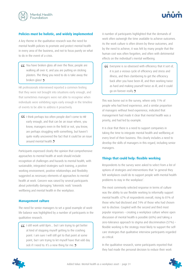![](_page_31_Picture_0.jpeg)

![](_page_31_Picture_1.jpeg)

#### **Policies must be holistic, and widely implemented**

A key theme in the qualitative research was the need for mental health policies to promote and protect mental health in every area of the business, and not to focus purely on what to do in the event of a crisis.

 You have broken glass all over the floor, people are walking all over it, and you are putting on sticking plasters. The thing you need to do is take away the broken glass! 9

HR professionals interviewed reported a common feeling that they were not brought into situations early enough, and that sometimes managers were not able to recognise when individuals were exhibiting signs early enough in the timeline of events to be able to address it proactively.

GG I think perhaps too often people don't come to HR early enough, and that can be an issue where, you know, managers even in the field or not, you know, are perhaps struggling with something, but haven't quite really uncovered the fact that it could be an issue around mental health.

Participants expressed clearly the opinion that comprehensive approaches to mental health at work should include recognition of challenges and hazards to mental health, with sustainable, integrated strategies such training, a positive working environment, positive relationships and flexibility suggested as necessary elements of approaches to mental health at work. Concern was raised by several participants about potentially damaging 'tokenistic nods' towards wellbeing and mental health in the workplace.

#### **Management culture**

The need for senior managers to set a good example of worklife balance was highlighted by a number of participants in the qualitative research.

 I still work until 8pm… but I am trying to get better at kind of stopping myself getting to the crashing point. I am sure I will still get to that point at some point, but I am trying to let myself have that odd day sick if I need to. It's a new thing for me.

A number of participants highlighted that the demands of work often outweigh the time available to achieve outcomes. As the work culture is often driven by these outcomes, and by the need to achieve, it was felt by many people that the human cost was often forgotten, and often with detrimental effects on the individual's mental wellbeing.

 Everyone is so obsessed with efficiency that it sort of, it is just a vicious cycle of efficiency and stress and illness, and then clambering to get the efficiency back after you have been ill, and then working twice as hard and making yourself twice as ill, and it could go on forever really.

This was borne out in the survey, where only 11% of people who had lived experience, and a similar proportion of managers without lived experience, indicated that management had made it clear that mental health was a priority, and had led by example.

It is clear that there is a need to support companies in taking the time to integrate mental health and wellbeing at every level of their business. This clearly includes a need to develop the skills of managers in this regard, including senior managers.

#### **Things that could help: flexible working**

Respondents to the survey were asked to select from a list of options of strategies and interventions that 'in general they felt workplaces could do to support people with mental health problems to stay in the workplace'.

The most commonly selected response in terms of culture was the ability to use flexible working to informally support mental health: 67% of respondents overall, rising to 81% of those who had disclosed and 74% of those who had chosen not to disclose. Coupled with the second and third most popular responses – creating a workplace culture where open discussion of mental health is possible (60%) and taking a zero-tolerance approach to stigma and discrimination (57%) – flexible working is the strategy most likely to support the selfcare strategies that qualitative interview participants regarded as critical.

In the qualitative research, some participants reported that they had made the personal decision to reduce their work

![](_page_31_Picture_19.jpeg)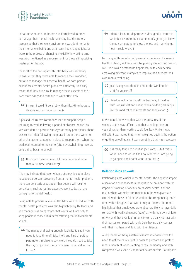![](_page_32_Picture_0.jpeg)

![](_page_32_Picture_1.jpeg)

to part-time hours or to become self-employed in order to manage their mental health and stay healthy. Others recognised that their work environment was detrimental to their mental wellbeing and as a result had changed jobs, or were in the process of changing. Flexibility in working time was also mentioned as a requirement for those still receiving treatment or therapy.

For most of the participants this flexibility was necessary to ensure that they were able to manage their workload, but also to manage their mental health. As each person experiences mental health problems differently, flexibility meant that individuals could manage these aspects of their lives more easily and continue to work effectively.

 I mean, I couldn't do a job without flexi-time because sleep is such an issue for me. 9

A phased return was commonly used to support people returning to work following a period of absence. While this was considered a positive strategy for many participants, there was concern that following the phased return there were no other changes or strategies in place to support them when the workload returned to the same (often overwhelming) level as before they became unwell.

 How can I have not even full-time hours and more than a full-time workload? 9

This may indicate that, even when a strategy is put in place to support a person recovering from a mental health problem, there can be a tacit expectation that people will resume behaviours, such as routine excessive workloads, that are damaging to mental health.

Being able to practise a level of flexibility with individuals with mental health problems was also highlighted by HR leads and line managers as an approach that works well, not only to keep people in work but in demonstrating that individuals are valued.

**CC** The manager allowing enough flexibility to say if you need to take time off, take it off, and kind of putting parameters in place to say, well, if you do need to take the day off just call me, at whatever time, and let me know.<sup>9</sup>

**CG** I think a lot of HR departments do a gradual return to work, but it's more to it than that. It's getting to know the person, getting to know the job, and marrying up how it could work. 9

For many of those who had personal experience of a mental health problem, self-care was the primary strategy for keeping well. This was a personalised approach, with each person employing different strategies to improve and support their own mental wellbeing.

**GG** Just making sure there is time in the week to do stuff for yourself. **2** 

 I tried to look after myself the best way I could in terms of just rest and eating well and doing all things like the medical appointments and medication.

It was noted, however, that with the pressures of the workplace this was difficult, and that spending time on yourself rather than working could feel lazy. While it was difficult, it was noted that, when weighted against the option of getting unwell again, it was something that was necessary.

 It is really tough to prioritise [self-care] … but this is what I need to do, and so I do, otherwise I am going to go again and I don't want to do that.

#### **Relationships at work**

Relationships are crucial to mental health. The negative impact of isolation and loneliness is thought to be on a par with the impact of smoking or obesity on physical health. And the relationships we make and maintain in the workplace are crucial, with those in full-time work in the UK spending more time with colleagues than with family or friends. The report highlighted that employees were about as likely to have daily contact with work colleagues (62%) as with their own children (64%), and that over four in ten (44%) had daily contact with their bosses compared with only 26% having daily contact with their mothers and 16% with their friends.

A key theme of the qualitative research interviews was the need to get the basics right in order to promote and protect mental health at work. Treating people humanely and with compassion was seen as important across sectors. Participants

![](_page_32_Picture_19.jpeg)

![](_page_32_Picture_21.jpeg)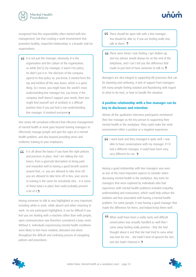![](_page_33_Picture_0.jpeg)

![](_page_33_Picture_1.jpeg)

recognised that this responsibility often started with line management, but that creating a work environment that promotes healthy, respectful relationships is a broader task for organisations.

**If** it is not just the manager, obviously. It is the organisation and the culture of the organisation, so while [he's] my manager, it wasn't his policy; he didn't put it in. The directors of the company agreed to that policy so, you know, it started from the top and trickled all the way down, which is a good thing. So I mean, you might have the world's most understanding line manager but, you know, if the company itself doesn't support your needs, then you might find yourself sort of similarly in a difficult position than if you just had a non-understanding line manager. It involved everyone.

One senior HR consultant reflected that effective management of mental health at work goes beyond training managers to effectively manage people and spot the signs of a mental health problem, and also beyond providing stress and resilience training to your employees.

 It is all about the basics if you have the right policies and practices in place. And I am talking the real basics, from a good job description to being paid and rewarded well to having a good benefit system around that, i.e. you are allowed to take time off; you are allowed to take time off in lieu; your access to training is the same for everybody else... It is some of these basics in place that could probably prevent a lot of it.

Having someone to talk to was highlighted as very important, including while in work, while absent and when returning to work. As one participant highlighted, it can be difficult if you feel you are dealing with a machine rather than with people; open communication was therefore considered a basic need. Without it, individuals experiencing mental health conditions were likely to feel more isolated, alienated and alone throughout the difficult and confusing process of navigating policies and procedures.

- There should be open talk with a line manager… You should be able to, if you are feeling really low, talk to them  $\overline{2}$
- GG There were times I was feeling, I get shaken up, and my advisor would always be on the end of the telephone, and I can't tell you the difference that made to just kind of have someone to talk to. **2**

Managers are also integral to supporting HR processes that can be daunting and confusing. A lack of support from managers left many people feeling isolated and floundering with regard to what to do next, or how to handle the situation.

#### **A positive relationship with a line manager can be key to disclosure and retention**

Almost all the qualitative interview participants mentioned their line manager as the key person to supporting their mental health in the workplace. They could make the work environment either a positive or a negative experience.

**I** went back and they managed it quite well. I was able to have conversations with my manager. If I'd had a different manager, it could have been very, very different for me.

Having a good relationship with line managers was seen as one of the most important aspects to consider when discussing mental health in the workplace. Key traits for managers that were explored by individuals who had experience with mental health problems included empathy, understanding and reassurance, which could help reduce the isolation and fear associated with having a mental health problem. For some people, it was having a good manager that made the difference for them, and helped keep them well.

 What could have been a really nasty and difficult conversation was actually handled so well that I came away feeling really positive – that she had thought about it and that she had tried to view what was best for me… she hadn't kind of ignored the fact, and she hadn't blamed it. **9** 

![](_page_33_Picture_15.jpeg)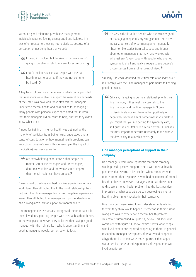![](_page_34_Picture_0.jpeg)

Without a good relationship with line management, individuals reported feeling unsupported and isolated. This was often related to choosing not to disclose, because of a perception of not being heard or valued:

 I mean, if I couldn't talk to friends I certainly wasn't going to be able to talk to my employer pre-crisis.

 I don't think it is fair to ask people with mental health issues to open up if they are not going to be heard. **9** 

A key factor of positive experiences in which participants felt that managers were able to support the mental health needs of their staff was how well those staff felt the managers understood mental health and possibilities for managing it. Many people with personal experience noted that it wasn't that their managers did not want to help, but that they didn't know what to do.

A need for training in mental health was outlined by the majority of participants, as being heard, understood and a sense of consideration of how mental health problems can impact on someone's work life (for example, the impact of medication) was seen as central.

 My overwhelming experience is that people that matter, sort of the managers and HR managers, don't really understand the whole sort of impact that mental health can have on you. **2** 

Those who did disclose and had positive experiences in their workplace often attributed this to the good relationship they had with their line manager. In contrast, negative experiences were often attributed to a manager with poor understanding and a workplace's lack of support for mental health.

Line managers themselves also recognised the important role they played in supporting people with mental health problems in the workplace. However, they reflected that having a good manager with the right skillset, who is understanding and good at managing people, comes down to luck.

**It's very difficult to find people who are actually good** at managing people. It's my struggle, not just in my industry, but sort of wider management generally. I hear terrible stories from colleagues and friends about other managers that they have worked with who just aren't very good with people, who are not sympathetic at all and really struggle to see people's circumstances from another point of view.

Similarly, HR leads identified the critical role of an individual's relationship with their line manager as paramount to keeping people in work.

GC Critically, it's going to be their relationship with their line manager, if they feel they can talk to the line manager and the line manager isn't going to discriminate against them, either positively or negatively, because I think sometimes if you disclose you might feel you are getting the sympathy card, so I guess it's neutrality to a certain extent. I think it's the most important because ultimately that is where the day-to-day relationship exists.

#### **Line manager perceptions of support in their company**

Line managers were more optimistic that their company would provide positive support to staff with mental health problems than seems to be justified when compared with reports from other respondents who had experience of mental health problems. However, managers who had chosen not to disclose a mental health problem had the least positive impression of what support a person developing a mental health problem might receive in their company.

Line managers were asked to consider statements relating to what they think would happen if someone in their current workplace was to experience a mental health problem. This data is summarised in figure 14, below. This should be contrasted with figure 11, above, which shows what people with lived experience reported happening to them. In general, respondent manager perceptions of what would happen in a hypothetical situation were more optimistic than appear warranted by the reported experiences of respondents with lived experience.

![](_page_34_Picture_15.jpeg)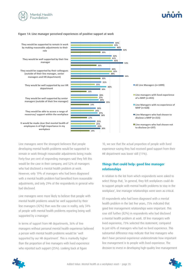![](_page_35_Picture_0.jpeg)

![](_page_35_Picture_1.jpeg)

#### Figure 14: Line manager perceived experiences of positive support at work

![](_page_35_Figure_3.jpeg)

Line managers were the strongest believers that people developing mental health problems would be supported to remain in work through reasonable adjustments being made. Forty-four per cent of responding managers said they felt this would be the case in their company, and 52% of managers who had disclosed a mental health problem at work. However, only 19% of managers who had been diagnosed with a mental health problem had benefited from reasonable adjustments, and only 29% of the respondents in general who had disclosed.

Line managers were more likely to believe that people with mental health problems would be well supported by their line managers (42%) than was the case in reality, only 34% of people with mental health problems reporting being well supported by a manager.

In terms of support from HR departments, 36% of line managers without personal mental health experience believed a person with mental health problems would be 'well supported by our HR department'. This is markedly higher than the proportion of line managers with lived experience who reported such support (25%). Looking back at figure

10, we see that the actual proportion of people with lived experience saying they had received good support from their HR department was lower still (11%).

#### **Things that could help: good line manager relationships**

In relation to the list from which respondents were asked to select things that, 'in general, they felt workplaces could do to support people with mental health problems to stay in the workplace', line manager relationships were seen as critical.

Of respondents who had been diagnosed with a mental health problem in the last five years, 75% indicated that good line management relationships were important. This rose still further (82%) in respondents who had disclosed a mental health problem at work. Of line managers with lived experience, 73% selected this statement, compared to just 60% of managers who had no lived experience. This substantial difference may indicate that line managers who don't have personal experience underestimate how important line management is to people with lived experience. The decision to invest in developing high-quality line management

![](_page_35_Picture_11.jpeg)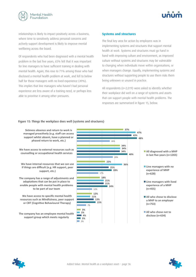![](_page_36_Picture_0.jpeg)

![](_page_36_Picture_1.jpeg)

relationships is likely to impact positively across a business, where time to sensitively address personal concerns and actively support development is likely to improve mental wellbeing across the board.

Of respondents who had been diagnosed with a mental health problem in the last five years, 65% felt that it was important for line managers to have sufficient training in dealing with mental health. Again, this rose to 71% among those who had disclosed a mental health problem at work, and fell to below half for those managers with no lived experience (49%). This implies that line managers who haven't had personal experience are less aware of a training need, or perhaps less able to prioritise it among other pressures.

#### **Systems and structures**

The final key area for action by employers was in implementing systems and structures that support mental health at work. Systems and structures must go hand in hand with improving culture and environment, as improved culture without systems and structures may be vulnerable to changing when individuals move within organisations, or when managers change. Equally, implementing systems and structures without supporting people to use them risks them being unknown or unused in practice.

All respondents (n=2,019) were asked to identify whether their workplace did well on a range of systems and assets that can support people with mental health problems. The responses are summarised in figure 15, below.

#### Figure 15: Things the workplace does well (systems and structures)

**37% 34% 22% 18%**   $\frac{12\%}{\phantom{12}}$ **15% 47% 34% 36% 21% 11% 2% 43% 34% 25% 21% 13% 4% 48% 40% 28% 24% 15% 3%**  26% 29% 17% 12% 7% 2% **Sickness absence and return to work is** managed proactively (e.g. staff can access support whilst absent, have a planned or **phased return to work, etc.)** We have access to external resources such as counselling or occupational health services We have internal resources that we can use **if things are difficult (e.g. HR support, peer support, etc.)** The company has a range of adjustments and adaptations that can be put in place to enable people with mental health problems to be part of our team We have access to specific mental health resources such as Mindfulness, peer support or CBT (Cognitive Behavioural Therapy) **The company has an employee mental health** support group which meets regularly Line managers with no Line managers with lived All who chose to disclose **37% 34% 22% 18% 12% 47% 34% 36% 21% 11% 2% 43% 34% 25% 21% 13%**   $\overline{a}$ **28%**  26% 29% 17% 12% **if**  $\mathbf{r} = \mathbf{r} \cdot \mathbf{r}$  are difficult  $\mathbf{r} = \mathbf{r} \cdot \mathbf{r}$  and  $\mathbf{r} = \mathbf{r} \cdot \mathbf{r}$  and  $\mathbf{r} = \mathbf{r} \cdot \mathbf{r}$ **resources All diagnosed with a MHP** in last five years (n=1265) **experience of MHP (n=628)**  experience of a MHP **(n=455)**  a MHP to an employer **(n=753) All who chose not to** disclose (n=634)

![](_page_36_Picture_9.jpeg)

![](_page_36_Picture_10.jpeg)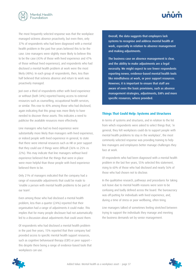![](_page_37_Picture_0.jpeg)

The most frequently selected response was that the workplace managed sickness absence proactively, but even then, only 37% of respondents who had been diagnosed with a mental health problem in the past five years believed this to be the case. Line managers were slightly more likely to believe this to be the case (43% of those with lived experience and 47% of those without lived experience), and respondents who had disclosed a mental health problem at work were the most likely (48%). In each group of respondents, then, less than half believed that sickness absence and return to work was proactively managed.

Just over a third of respondents either with lived experience or without (both 34%) reported having access to external resources such as counselling, occupational health services, or similar. This rose to 40% among those who had disclosed, again indicating that this group was more likely to have needed to discover these assets. This indicates a need to publicise the available resources more effectively.

Line managers who had no lived experience were substantially more likely than managers with lived experience, or indeed people with lived experience in general, to state that there were internal resources such as HR or peer support that they could use if things were difficult (36% vs 25% vs 22%). This may indicate that line managers without lived experience believed that the things that were in place were more helpful than those people with lived experience believed them to be.

Only 21% of managers indicated that the company had a range of reasonable adjustments that could be made to 'enable a person with mental health problems to be part of our team'.

Even among those who had disclosed a mental health problem, less than a quarter (24%) reported that their organisation had a range of adjustments it could make. This implies that for many people disclosure had not automatically led to a discussion about adjustments that could assist them.

Of respondents who had disclosed a mental health problem in the past five years, 15% reported that their company had provided access to specific mental health support resources, such as cognitive behavioural therapy (CBT) or peer support – this despite there being a range of evidence-based tools that workplaces can use.

Overall, the data suggests that employers lack systems to recognise and address mental health at work, especially in relation to absence management and making adjustments.

The business case on absence management is clear, and the ability to make adjustments are a legal necessity. We might expect to see fewer respondents reporting newer, evidence-based mental health tools like mindfulness at work, or peer support resources. However, it is important to ensure that staff are aware of even the basic provisions, such as absence management strategies, adjustments, EAPs and more specific resources, where provided.

#### **Things That Could Help: Systems and Structures**

In terms of systems and structures, and in relation to the list from which respondents were asked to select things that, 'in general, they felt workplaces could do to support people with mental health problems to stay in the workplace', the most commonly selected response was providing training to help line managers and employees better manage challenges they face at work.

Of respondents who had been diagnosed with a mental health problem in the last five years, 55% selected this statement, rising to 60% of those who had disclosed and nearly 56% of those who had chosen not to disclose.

In the qualitative research, pathways and procedures for taking sick leave due to mental health reasons were seen to be confusing and badly defined across the board. The bureaucracy was off-putting for individuals with lived experience, and, during a time of stress or poor wellbeing, often tiring.

Line managers talked of sometimes feeling stretched between trying to support the individuals they manage and meeting the business demands set by senior management.

![](_page_37_Picture_15.jpeg)

![](_page_37_Picture_16.jpeg)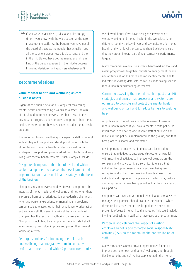<span id="page-38-0"></span>![](_page_38_Picture_0.jpeg)

![](_page_38_Picture_1.jpeg)

 If you were to visualise it, I'd shape it like an eggtimer – you know, with the wide section at the top? I have got the staff… At the bottom, you have got all the board of trustees, the people that actually make all the decisions about how this place runs, and then in the middle you have got the manager, and I am kind of the person squeezed in the middle because I have no decision-making powers whatsoever.

#### **Recommendations**

#### **Value mental health and wellbeing as core business assets**

Organisation's should develop a strategy for maximising mental health and wellbeing as a business asset. The aim of this should be to enable every member of staff in the business to recognise, value, improve and protect their mental health, whether or not they have experienced a mental health problem.

It is important to align wellbeing strategies for staff in general with strategies to support and develop staff who might be at greater risk of mental health problems, as well as with strategies to support and provide adjustments to those already living with mental health problems. Such strategies include:

#### Designate champions both at board level and within senior management to oversee the development and implementation of a mental health strategy at the heart of the business

Champions at senior levels can drive forward and protect the interests of mental health and wellbeing at times when there is pressure from other priorities. Senior leadership champions who have personal experience of mental health problems can be a valuable asset, using their experience to drive action and engage staff. However, it is critical that a senior-level champion has the reach and authority to ensure such action. Champions should lead by example, encouraging staff at all levels to recognise, value, improve and protect their mental wellbeing at work.

Set targets and KPIs for improving mental health and wellbeing that integrate with main company performance metrics and with HR performance metrics We all work better if we have clear goals toward which we are working, and mental health in the workplace is no different. Identify the key drivers and key indicators for mental health, and what level the company should achieve. Ensure that they are an integral part of your company's performance targets.

Many companies already use surveys, benchmarking tools and award programmes to gather insights on engagement, health and attitudes at work. Companies can identify mental health indicators in existing data-sets, as well as undertaking specific mental health benchmarking or research.

Commit to assessing the mental health impact of all HR strategies and ensure that processes and systems are optimised to promote and protect the mental health and wellbeing of staff and to reduce barriers to seeking help

All policies and procedures should be reviewed to assess mental health impact. If you have a mental health policy, or if you choose to develop one, involve staff at all levels and make sure the policy is implemented on the ground, and that best practice is shared and celebrated.

It is important to ensure that initiatives are balanced, to ensure that initiatives to encourage disclosure run parallel with meaningful activities to improve wellbeing across the company, and vise versa. It is also critical to ensure that initiatives to support mental health and wellbeing seek to recognise and address psychological hazards at work – both individual and corporate – the presence of which may reduce staff engagement in wellbeing activities that they may regard as superficial.

Companies with EAPs or vocational rehabilitation and absence management products should examine the extent to which these products cover mental health problems and support prevention-focused mental health strategies. This could include inviting feedback from staff who have used such programmes.

Recognise and celebrate the impact of existing employee benefits and corporate social responsibility activities (CSR) on the mental health and wellbeing of staff

Many companies already provide opportunities for staff to improve both their own and others' wellbeing and through flexible benefits and CSR. A first step is to audit the mental

![](_page_38_Picture_18.jpeg)

![](_page_38_Picture_20.jpeg)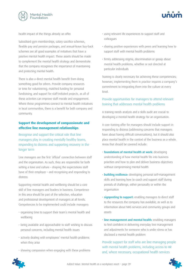![](_page_39_Picture_0.jpeg)

![](_page_39_Picture_1.jpeg)

health impact of the things already on offer.

Subsidised gym memberships, salary sacrifice schemes, flexible pay and pension packages, and annual-leave buy-back schemes are all good examples of initiatives that have a positive mental health impact. These assets should be made to complement the mental health strategy and demonstrate that the company recognises the importance of maintaining and protecting mental health.

There is also a direct mental health benefit from doing something good for others. Provide company resources or time for volunteering; matched funding for personal fundraising; and support for staff-initiated projects, as all of these activities can improve staff morale and engagement. Where these programmes connect to mental health initiatives in local communities, there is a benefit for both company and community.

#### **Support the development of compassionate and effective line management relationships**

Recognise and support the critical role that line managers play in creating mentally healthy teams, responding to distress and supporting recovery in the longer term

Line managers are the first 'official' connection between staff and the organisation. As such, they are responsible for both setting a tone and culture – shaping the expectations staff have of their employer – and recognising and responding to distress.

Supporting mental health and wellbeing should be a core skill of line managers and leaders in business. Competence in this area should be part of the selection, education and professional development of managers at all levels. Competencies to be implemented could include managers:

- organising time to support their team's mental health and wellbeing
- being available and approachable to staff wishing to discuss personal concerns, including mental health issues
- actively dealing with employees' mental health problems when they arise
- showing compassion when engaging with these problems
- using relevant life experiences to support staff and colleagues
- sharing positive experiences with peers and learning how to support staff with mental health problems
- firmly addressing stigma, discrimination or gossip about mental health problems, whether or not directed at particular individuals

Training is clearly necessary for achieving these competencies; however, implementing them in practice requires a company's commitment to integrating them into the culture at every level.

#### Provide opportunities for managers to attend relevant training that addresses mental health problems

A training needs analysis and a skills audit are crucial to developing a mental health strategy for an organisation.

A core training offer for managers should include support in responding to distress (addressing concerns that managers have about having difficult conversations), but it should also place mental health in the context of the business as a whole. Areas that should be covered include:

- foundations of mental health at work: developing understanding of how mental health fits into business priorities and how to plan and deliver business objectives without compromising mental health
- building resilience: developing personal self-management skills and learning how to coach and support staff during periods of challenge, either personally or within the organisation
- signposting to support: enabling managers to direct staff to the resources the company has available, as well as to information about NHS services and community groups and assets
- line management and mental health: enabling managers to feel confident in delivering everyday line management and adjustments for someone who is under stress or has disclosed a mental health problem

Provide support for staff who are line-managing people with mental health problems, including access to HR and, where necessary, occupational health services

![](_page_39_Picture_25.jpeg)

![](_page_39_Picture_27.jpeg)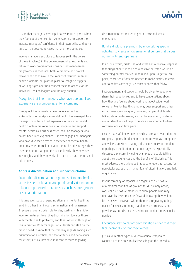<span id="page-40-0"></span>![](_page_40_Picture_0.jpeg)

Ensure that managers have rapid access to HR support when they feel out of their comfort zone. Use this HR support to increase managers' confidence in their own skills, so that HR time can be devoted to cases that are more complex.

Involve managers and close colleagues (with the consent of those involved) in the development of adjustments and return-to-work programmes. Consider self-management programmes as measures both to promote and protect recovery and to minimise the impact of recurrent mental health problems; put plans in place to recognise triggers or warning signs and then connect these to actions for the individual, their colleagues and the organisation.

#### Recognise that line managers who have personal lived experience are a unique asset for a company

Throughout this research, a new population of key stakeholders for workplace mental health has emerged. Line managers who have lived experience of having a mental health problem are more likely to recognise and support mental health as a business asset than line managers who do not have lived experience. Directly engage line managers who have disclosed personal experience of mental health problems when formulating your mental health strategy. They may be able to champion the cause directly, they may have key insights, and they may also be able to act as mentors and role models.

#### **Address discrimination and support disclosure**

Ensure that discrimination on grounds of mental health status is seen to be as unacceptable as discrimination in relation to protected characteristics such as race, gender or sexual orientation

It is time we stopped regarding stigma in mental health as anything other than illegal discrimination and harassment. Employers have a crucial role to play, starting with a highlevel commitment to ending discrimination towards those with mental health problems, and then following through on this in practice. Both managers at all levels and staff on the ground need to know that the company regards ending such discrimination as critical, and that attitudes and behaviours must shift, just as they have in recent decades regarding

discrimination that relates to gender, race and sexual orientation.

#### Build a disclosure premium by undertaking specific activities to create an organisational culture that values authenticity and openness

In an ideal world, disclosure of distress and a positive response that brings about support and a positive outcome would be something normal that could be relied upon. To get to this point, concerted efforts are needed to make disclosure easier and to address any negative consequences that follow.

Encouragement and support should be given to people to share their experiences and to have conversations about how they are feeling about work, and about wider work concerns. Mental health champions, peer support and other explicit measures are great; however, people at all levels talking about wider issues, such as bereavement, or stress around deadlines, all help to create an environment where conversations can take place.

Ensure that staff know how to disclose and are aware that the company regards the decision to come forward as courageous and valued. Consider creating a disclosure policy or template, or perhaps a publication or intranet page that specifically discusses disclosure, including examples of people talking about their experiences and the benefits of disclosing. This must address the challenges that people report as reasons for non-disclosure, such as shame, fear of discrimination, and lack of guidance.

If your company or organisation regards non-disclosure of a medical condition as grounds for disciplinary action, consider a disclosure amnesty to allow people who may not have disclosed to come forward, knowing they will not be penalised. However, where there is a regulatory or legal reason for disclosure being mandatory, an amnesty is not possible, as non-disclosure is either criminal or professionally negligent.

#### Encourage staff to report discrimination either that they face personally or that they witness

Just as with other types of discrimination, companies cannot place the onus to disclose solely on the individual

![](_page_40_Picture_16.jpeg)

![](_page_40_Picture_17.jpeg)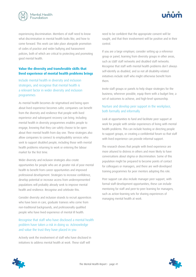![](_page_41_Picture_0.jpeg)

![](_page_41_Picture_1.jpeg)

experiencing discrimination. Members of staff need to know what discrimination in mental health looks like, and how to come forward. This work can take place alongside promotion of codes of practice and wider bullying and harassment policies, both of which are critical to protecting and promoting good mental health.

#### **Value the diversity and transferable skills that lived experience of mental health problems brings**

Include mental health in diversity and inclusion strategies, and recognise that mental health is a relevant factor in wider diversity and inclusion programmes

As mental health becomes de-stigmatised and being open about lived experience becomes safer, companies can benefit from the diversity and resilience that people with lived experience and subsequent recovery can bring. Including mental health in diversity programmes enables people to engage, knowing that they can safely choose to be open about their mental health from day one. These strategies also allow companies to connect to employability services who seek to support disabled people, including those with mental health problems returning to work or entering the labour market for the first time.

Wider diversity and inclusion strategies also create opportunities for people who are at greater risk of poor mental health to benefit from career opportunities and improved professional development. Strategies to increase confidence, develop potential or increase access from underrepresented populations will probably already seek to improve mental health and resilience. Recognise and celebrate this.

Consider diversity and inclusion strands to recruit apprentices who have been in care, graduate trainees who come from non-traditional backgrounds, and professionally qualified people who have lived experience of mental ill health.

#### Recognise that staff who have disclosed a mental health problem have taken a risk in doing so. Acknowledge and value the trust they have placed in you

Actively seek the involvement of staff who have disclosed in initiatives to address mental health at work. These staff will

need to be confident that the appropriate consent will be sought, and that their involvement will be positive and in their control.

If you are a large employer, consider setting up a reference group or panel, learning from diversity groups in other areas, such as LGBT staff networks and disabled staff networks. Recognise that staff with mental health problems don't always self-identify as disabled, and so not all disability-related initiatives include staff who might otherwise benefit from them.

Invite staff groups or panels to help shape strategies for the business; wherever possible, equip them with a budget line, a set of outcomes to achieve, and high-level sponsorship.

#### Nurture and develop peer support in the workplace, both formally and informally

Look at opportunities to fund and facilitate peer support at work for people with similar experiences of living with mental health problems. This can include hosting or directing people to support groups, or creating a confidential forum so that staff with lived experience can provide informal support.

The research shows that people with lived experience are more attuned to distress in others and more likely to have conversations about stigma or discrimination. Some of this population might be prepared to become points of contact for colleagues or managers, and there are well-developed training programmes for peer mentors adopting this role.

Peer support can also include manager peer support, with formal staff-development opportunities; these can include mentoring for staff and peer-to-peer learning for managers, such as action-learning sets for sharing experiences of managing mental health at work.

![](_page_41_Picture_17.jpeg)

![](_page_41_Picture_18.jpeg)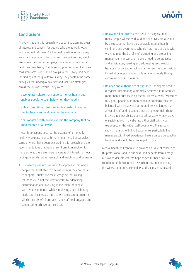<span id="page-42-0"></span>![](_page_42_Picture_0.jpeg)

### **Conclusions**

At every stage in this research, we sought to examine areas of interest and concern for people who are at work today and living with distress. For the final question in the survey, we asked respondents to prioritise three actions they would like to see their current employer take to improve mental health and wellbeing. The three top priorities identified were consistent across population groups in the survey, and echo the findings of the qualitative survey. They contain the same principles that underpin diversity and inclusion strategies across the business world. They were:

- a workplace culture that supports mental health and enables people to seek help when they need it
- a clear commitment from senior leadership to support mental health and wellbeing in the company
- clear mental health policies within the company that are implemented at all levels

These three actions describe the essence of a mentally healthy workplace. Beneath them lie a myriad of variables, some of which have been explored in this research and the recommendations that have arisen from it. In addition to these actions, there are three key areas of interest from our findings in which further research and insight would be useful.

1. Disclosure premium. We need to appreciate that when people feel most able to disclose distress they are easier to support. Equally, we must recognise that calling for 'honesty' is not the way forward. By addressing discrimination and investing in the talent of people with lived experience, while simplifying and celebrating disclosure, businesses can create a disclosure premium in which they benefit from talent and staff feel engaged and supported to achieve at their best.

- 2. Below-the-line distress. We need to recognise that many people whose work and personal lives are affected by distress do not have a diagnosable mental health condition, and even those who do may not share this with work. To reap the benefits of promoting and protecting mental health at work, employers need to be proactive and anticipatory, seeking and addressing psychological hazards at work and enabling staff to seek help both within formal structures and informally or anonymously through community or EAP provision.
- 3. Balance and authenticity of approach. Employers need to recognise that creating a mentally healthy culture requires more than a brief focus on mental illness at work. Measures to support people with mental health problems must be balanced with initiatives both to address challenges that affect all staff and to support those at greater risk. There is a very real possibility that superficial activity may prove unsustainable or may alienate either staff with lived experience or the wider staff population. This research shows that staff with lived experience, particularly line managers with lived experience, have a unique perspective to offer, and should be encouraged to do so.

Mental health will continue to grow as an issue of concern to HR professionals and to business, and benefits from a range of stakeholder interest. We hope to see further efforts to coordinate both action and research in this area, involving the widest range of stakeholders and sectors as is possible.

![](_page_42_Picture_12.jpeg)

![](_page_42_Picture_13.jpeg)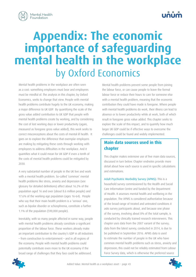<span id="page-43-0"></span>![](_page_43_Picture_0.jpeg)

## **Appendix: The economic importance of safeguarding mental health in the workplace**  by Oxford Economics

Mental health problems in the workplace are often seen as a cost: something employers must bear and employees must be mindful of. The analysis in this chapter, by Oxford Economics, seeks to change that view. People with mental health problems contribute hugely to the UK economy, making a major difference to UK GDP. By quantifying the scale of the gross value added contribution to UK GDP that people with mental health problems create by working, and by considering the cost of lost working days or lower productivity (again, measured as foregone gross value added), this work seeks to correct misconceptions about the costs of mental ill health. It goes on to explore the difference that exemplar employers are making by mitigating these costs through working with employees to address difficulties in the workplace. And it quantifies what it could mean for UK GDP if even a tenth of the costs of mental health problems could be mitigated by 2030.

A very substantial number of people in the UK live and work with a mental health problem. So-called 'common' mental health problems like stress, anxiety and depression (see glossary for detailed definitions) affect about 16.2% of the population aged 16 and over (about 8.6 million people) and 17.6% of the working-age population (ages 16–64). People who say that their main health problem is a 'serious' one, such as bipolar disorder or schizophrenia, constitute a further 1.1% of the population (590,000 people).

Inevitably, with so many people affected in some way, people with mental health problems already constitute a significant proportion of the labour force. These workers already make an important contribution to the country's GDP in all industries – from construction to entertainment – and in all regions of the economy. People with mental health problems could potentially contribute even more to the UK economy if the broad range of challenges that they face could be addressed.

Mental health problems prevent some people from joining the labour force, or can cause people to leave the formal labour force or reduce their hours to care for someone else with a mental health problem, meaning that the economic contribution they could have made is foregone. Where people with mental health problems do work, their illness can lead to absence or to lower productivity while at work, both of which result in foregone gross value added. This chapter seeks to explore the scale of this impact, and to quantify how much larger UK GDP could be if effective ways to overcome the challenges could be found and widely implemented.

### **Main data sources used in this chapter**

 This chapter makes extensive use of five main data sources, discussed in turn below. Chapter endnotes provide more detail about how each source is used in specific calculations and estimations.

 Adult Psychiatric Morbidity Survey (APMS): This is a household survey commissioned by the Health and Social Care Information Centre and funded by the Department of Health. It assesses mental health and wellbeing in the population. The APMS is considered authoritative because of the broad range of treated and untreated conditions it asks survey participants about, and because one phase of the survey, involving about 8% of the total sample, is conducted by clinically trained research interviewers. This chapter uses data from the 2007 variant of the survey; data from the latest survey, conducted in 2014, is due to be published in September 2016. APMS data is used to estimate the number of people in the UK who have common mental health problems such as stress, anxiety and depression; this could not be reliably estimated from Labour Force Survey data, which is otherwise the preferred source

![](_page_43_Picture_9.jpeg)

![](_page_43_Picture_11.jpeg)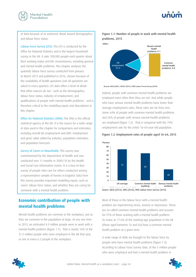<span id="page-44-0"></span>![](_page_44_Picture_0.jpeg)

![](_page_44_Picture_1.jpeg)

of data because of its extensive detail around demographics and labour force status.

Labour Force Survey (LFS): The LFS is conducted by the Office for National Statistics and is the largest household survey in the UK. It asks 100,000 people each quarter about their working status and life circumstances, including general and mental health problems. This chapter analyses the quarterly labour force survey conducted from January to March 2015 and published in 2016, chosen because of the availability of health questions (not all questions are asked in every quarter). LFS data offers a level of detail that other sources do not – such as the demographics, labour force status, industry of employment, and qualifications of people with mental health problems – and is therefore critical to the modelling inputs and descriptions in this chapter.

 Office for National Statistics (ONS): The ONS is the official statistical agency of the UK. It is the source for a wide range of data used in this chapter for comparisons and estimates, including overall UK employment and GDP; employment and gross value added by industry; population estimates; and population forecasts.

 Survey of Carers in Households: This survey was commissioned by the Department of Health and was conducted over 11 months in 2009/10 by the Health and Social Care Information Centre. It is a face-to-face survey of people who care for others conducted among a representative sample of homes in England. Data from this survey provides important modelling inputs, such as carers' labour force status, and whether they are caring for someone with a mental health problem.

### **Economic contribution of people with mental health problems**

Mental health problems are common in the workplace, just as they are common in the population at large. At any one time in 2015, an estimated 4.9 million people were in work with a mental health problem (figure 1.1). That is nearly 16% of the 31.3 million people who were employed in the UK that year, or one in every 6.3 people in the workplace.

![](_page_44_Figure_8.jpeg)

![](_page_44_Figure_9.jpeg)

Source: NHS (2007), OECD (2013), ONS Labour Force Survey (2016)

Indeed, people with common mental health problems are employed more often than they are not. And while people who have serious mental health problems have lower than average employment rates, these rates are far from zero. Some 64% of people with common mental health problems and 26% of people with serious mental health problems are employed (figure 1.2). That is compared with the 74% employment rate for the entire 16–64-year-old population.

![](_page_44_Figure_12.jpeg)

![](_page_44_Figure_13.jpeg)

Most of those in the labour force with a mental health problem are experiencing stress, anxiety or depression. These are so-called common mental health problems and account for 97% of those working with a mental health problem. As many as 17.6% of the working-age population in the UK (those aged between 16 and 64) have a common mental health problem at a given time.

A wide range of skills are brought to the labour force by people who have mental health problems (figure 1.3). According to Labour Force Survey data, of the 5 million people who were employed and had a mental health problem in

![](_page_44_Picture_17.jpeg)

![](_page_44_Picture_19.jpeg)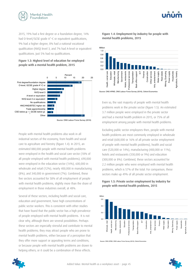![](_page_45_Picture_0.jpeg)

2015, 19% had a first degree or a foundation degree, 14% had O-level/GCSE grade A\*–C or equivalent qualifications, 9% had a higher degree, 8% had a national vocational qualification (NVQ) level 3, and 7% had A-level or equivalent qualifications. Just 5% had no qualifications.

![](_page_45_Figure_2.jpeg)

![](_page_45_Figure_3.jpeg)

People with mental health problems also work in all industrial sectors of the economy, from health and social care to agriculture and forestry (figure 1.4). In 2015, an estimated 880,000 people with mental health problems were employed in the health and social care sector (18% of all people employed with mental health problems), 690,000 were employed in the education sector (14%), 600,000 in wholesale and retail (12%), nearly 400,000 in manufacturing (8%), and 340,000 in government (7%). Combined, these five sectors accounted for 58% of all employment of people with mental health problems, slightly more than the share of employment in those industries overall, at 48%.

Several of these sectors, including health and social care, education and government, have high concentrations of public sector workers. This is consistent with other studies that have found that the public sector has a high prevalence of people employed with mental health problems. It is not clear why, although there are several possibilities. Perhaps these sectors are especially stressful and contribute to mental health problems; they may attract people who are prone to mental health problems, either because of a perception that they offer more support or appealing terms and conditions, or because people with mental health problems are drawn to helping others; or it could be a combination of these effects.

![](_page_45_Figure_6.jpeg)

![](_page_45_Figure_7.jpeg)

Even so, the vast majority of people with mental health problems work in the private sector (figure 1.5). An estimated 3.7 million people were employed in the private sector and had a mental health problem in 2015, or 75% of all employment among people with mental health problems.

Excluding public sector employees then, people with mental health problems are most commonly employed in wholesale and retail (600,000 or 16% of all private sector employment of people with mental health problems), health and social care (520,000 or 14%), manufacturing (400,000 or 11%), hotels and restaurants (330,000 or 9%) and education (300,000 or 8%). Combined, these sectors accounted for 2.2 million people who were employed with mental health problems, which is 57% of the total. For comparison, these sectors make up 49% of all private sector employment. **EVERT TO EXAMPLAIS.** The valuation of the sector same of the sector same of the sector same of the sector same is a section of the sector of experiment and that is a section of the sector (figure 1.5.<br>
Figure 1.5: **Priva** 

## Figure 1.5: Private sector employment by industry for

Source: ONS APMS, ONS Labour Force Survey (2016), Oxford Economics

![](_page_45_Figure_11.jpeg)

![](_page_45_Picture_12.jpeg)

![](_page_45_Picture_13.jpeg)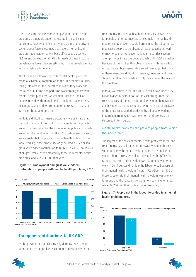<span id="page-46-0"></span>![](_page_46_Picture_0.jpeg)

There are some sectors where people with mental health problems are notably under-represented. These include agriculture, forestry and fishing (where 2.3% of the private sector labour force is estimated to have a mental health problem), real estate (5.4%), back-office support sectors (8.5%) and construction (8.9%). For each of these industries, prevalence is lower than an estimated 14.4% prevalence rate in the private sector overall.

All of these people working with mental health problems made a substantial contribution to the UK economy in 2015. Taking into account the industries in which they work and the rates of full-time and part-time work among those with mental health problems, we estimate that the 5 million people in work with mental health problems made a £226 billion gross value added contribution to UK GDP in 2015, or 12.1% of the total (figure 1.6).

While it is difficult to measure accurately, we estimate that the vast majority of this contribution came from the private sector. By accounting for the distribution of public and private sector employment in each of the 20 industries we analysed, we estimate that people with mental health problems who were working in the private sector generated a £172 billion gross value added contribution to UK GDP in 2015. That is 76% of all gross value added created by those with mental health problems, and 9.2% UK GDP that year.

#### Figure 1.6: Employment and gross value added contribution of people with mental health problems, 2015

![](_page_46_Figure_6.jpeg)

#### **Foregone contributions to UK GDP**

As the previous section conclusively demonstrates, people with mental health problems contribute substantially to the UK economy. But mental health problems also have costs for people and for businesses. For example, mental health problems may prevent people from joining the labour force, may cause people to be absent or less productive at work, or may force them to leave the labour force. This section attempts to estimate the degree to which UK GDP is smaller because of mental health problems, along with their effects on people and businesses. We also acknowledge that many of these losses are difficult to measure, however, and they should therefore be considered only indicative of the scale of the problem.

In total, we estimate that the UK GDP could have been £25 billion higher in 2015 if not for the cost arising from the consequences of mental health problems to both individuals and businesses. This is 1.3% of GDP in that year, or equivalent to the gross value added produced by all people working in Birmingham in 2013. Each element of these losses is discussed in turn below.

#### Mental health problems can prevent people from joining the labour force

The largest of the costs of mental health problems is that the UK economy is smaller than it otherwise would be because some people with mental health problems are unable to work. Labour Force Survey data collected by the Office for National Statistics indicates that 186,100 people wanted to work in 2015 but could not join the labour force because of their mental health problem (figure 1.7). About 161,400 of these people said their mental health problem was a longterm one and the reason they were not searching for a job, while 24,700 said their problem was temporary.

#### 85 21 76 4 Long-term Temporary  $\mathbf{0}$  $20$ 40 60 80 UUS Common mental health problem<br>100 1 Source: ONS Labour Force Survey (2016) 000s

#### Figure 1.7: People not in the labour force due to a mental health problem, 2015

![](_page_46_Picture_15.jpeg)

![](_page_46_Picture_17.jpeg)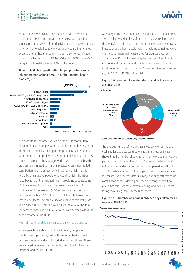![](_page_47_Picture_0.jpeg)

![](_page_47_Picture_1.jpeg)

Many of those who cannot join the labour force because of their mental health problem are nonetheless well-qualified, suggesting a relatively high productivity loss. Over 72% of those who say they would like to work but aren't searching for a job because of their health problem had some sort of qualification (figure 1.8). For example, 18% had O-level or GCSE grade A\*–C or equivalent qualifications and 7% had a degree.

#### Figure 1.8: Highest qualification for people who want a job but are not looking because of their mental health problem, 2015

![](_page_47_Figure_4.jpeg)

It is possible to estimate the scale of the GDP contribution foregone because people with mental health problems are not in the labour force by looking at the productivity of workers with mental health problems. Given the industrial sectors they choose to work in, the average worker with a mental health problem is estimated to make a £45,325 gross value added contribution to UK GDP economy in 2015. Multiplying this figure by the 181,600 people who could not join the labour force because of their mental health problems suggest some £8.4 billion was lost in foregone gross value added. About £7.3 billion of this amount (87% of the total) is from longterm illness, while £1.1 billion (13% of the total) arises from temporary illness. The private sector's share of this lost gross value added is likely around £6.4 billion, or 76% of the total. For context, that is about 0.5% of all private sector gross value added created in the UK in 2015.

#### Mental health problems can cause sickness absence

Where people are able to continue to work, people with mental health problems, just as those with physical health problems, may take days off work due to their illness. These are counted as sickness absences by the Office for National Statistics, and reduce UK GDP.

According to the ONS Labour Force Survey, in 2015, people took 138.7 million working days off because they were ill or in pain (figure 1.9). That is about 4.4 days per person employed. Neck, limb, back and other musculoskeletal problems combined were the most common main cause cited for sickness absences, adding up to 32.4 million working days lost, or 23% of the total. Common and serious mental health problems were the third most important cause, leading to 17.6 million sickness absence days in 2015, or 12.7% of the total.

#### Figure 1.9: Number of working days lost due to sickness absence, 2015 0 10 20 30

![](_page_47_Figure_10.jpeg)

Source: ONS Labour Force Survey (2016), Oxford Economics

The average number of sickness absences per worker has been declining for two decades (figure 1.10). The latest ONS data shows that the number of days absent from work due to sickness per person employed in the UK in 2015 was 4.4, which is 60% of the number of days taken per person employed in 1993, at 7.2. And while it is beyond the scope of this study to determine the causes, the observed data is striking, and suggests that some combination of the following has been occurring: people have grown healthier, are more often attending work while ill, or are taking fewer illegitimate sickness absences.

#### Figure 1.10: Number of sickness absence days taken for all reasons, 1993–2015

![](_page_47_Figure_14.jpeg)

![](_page_47_Picture_15.jpeg)

![](_page_47_Picture_17.jpeg)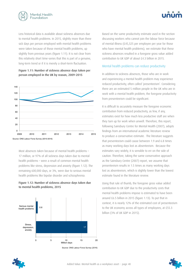![](_page_48_Picture_0.jpeg)

Less historical data is available about sickness absences due to mental health problems. In 2015, slightly more than three sick days per person employed with mental health problems were taken because of those mental health problems, up slightly from previous years (figure 1.11). It is not clear from this relatively short time-series that this is part of a genuine, long-term trend or if it is merely a short-term fluctuation.

![](_page_48_Figure_3.jpeg)

![](_page_48_Figure_4.jpeg)

Most absences taken because of mental health problems – 17 million, or 97% of all sickness days taken due to mental health problems – were a result of common mental health problems like stress, depression and anxiety (figure 1.12). The remaining 600,000 days, or 3%, were due to serious mental health problems like bipolar disorder and schizophrenia.

#### Figure 1.12: Number of sickness absence days taken due to mental health problems, 2015

![](_page_48_Figure_7.jpeg)

Source: ONS Labour Force Survey (2016)

![](_page_48_Picture_9.jpeg)

Based on the same productivity estimate used in the section discussing workers who cannot join the labour force because of mental illness (£45,325 per employee per year for those who have mental health problems), we estimate that these sickness absences resulted in a foregone gross value added contribution to UK GDP of about £4.3 billion in 2015.

#### Mental health problems can reduce productivity

In addition to sickness absences, those who are in work and experiencing a mental health problem may experience reduced productivity, often called 'presenteeism'. Considering there are an estimated 5 million people in the UK who are in work with a mental health problem, the foregone productivity from presenteeism could be significant.

It is difficult to accurately measure the foregone economic contribution from reduced productivity, as few, if any, estimates exist for how much less productive staff are when they turn up for work when unwell. Therefore, this report, following Sainsbury Centre for Mental Health (2007), adopts findings from an international academic literature review to produce a conservative estimate. The literature suggests that presenteeism could cause between 1.9 and 6.8 times as many working days lost as absenteeism. Because the estimates vary widely, it is sensible to err on the side of caution. Therefore, taking the same conservative approach as the Sainsbury Centre (2007) report, we assume that presenteeism results in 1.5 times as many working days lost as absenteeism, which is slightly lower than the lowest estimate found in the literature review.

Using that rule of thumb, the foregone gross value added contribution to UK GDP due to the productivity costs that mental health problems impose is estimated to have been around £6.5 billion in 2015 (figure 1.13). To put that in context, it is nearly 12% of the estimated cost of presenteeism to the UK economy across all types of employees, at £55.3 billion (3% of UK GDP in 2015).

![](_page_48_Picture_15.jpeg)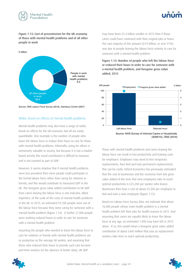![](_page_49_Picture_0.jpeg)

![](_page_49_Picture_1.jpeg)

Figure 1.13: Cost of presenteeism for the UK economy of those with mental health problems and of all other people in work

![](_page_49_Figure_3.jpeg)

Source: ONS Labour Force Survey (2016), Sainsbury Centre (2007)

#### Wider, knock-on effects of mental health problems

Mental health problems may also have a range of wider, knock-on effects for the UK economy. Not all are easily quantifiable. One example is the number of people who leave the labour force or reduce their hours to care for those with mental health problems. Informally caring for others is immensely valuable to society, but because it is not a marketbased activity this social contribution is difficult to measure and is not counted as part of GDP.

However, it seems intuitive that if mental health problems were less prevalent then more people could participate in the formal labour force rather than caring for relatives or friends, and this would contribute to measured GDP in the UK. The foregone gross value added contribution to UK GDP from carers leaving the labour force is one indicator, albeit imperfect, of the scale of the costs of mental health problems in the UK. In 2015, an estimated 93,100 people were out of the labour force because they were caring for someone with a mental health problem (figure 1.14). A further 27,800 people were working reduced hours in order to care for someone with a mental health problem.

Assuming the people who needed to leave the labour force to care for relatives or friends with mental health problems are as productive as the average UK worker, and assuming that those who reduced their hours to provide such care became part-time workers (in the absence of better data), UK GDP

may have been £5.4 billion smaller in 2015 than if those carers could have continued with their original jobs or hours. The vast majority of this amount (£4.9 billion, or over 91%) was due to people leaving the labour force entirely to care for someone with a mental health problem.

Figure 1.14: Number of people who left the labour force or reduced their hours in order to care for someone with a mental health problem, and foregone gross value  $\alpha$ dded, 2015

![](_page_49_Figure_11.jpeg)

Those with mental health problems and carers leaving the labour force can result in lost productivity and training costs for employers. Employers may need to hire temporary replacements, then find and train permanent replacements. This can be costly. Oxford Economics has previously estimated that the cost to businesses and the economy from lost gross value added of the time that new employees take to reach optimal productivity is £25,200 per worker who leaves. Businesses then bear a cost of about £5,500 per employee to find and train a new employee (figure 1.15).

Based on Labour Force Survey data, we estimate that about 16,000 people whose main health problem is a mental health problem left their jobs for health reasons in 2015. And assuming that carers are equally likely to leave the labour force at any age, an estimated 1,900 may have left in 2015 alone. If so, this would mean a foregone gross value added contribution of about £460 million that year as replacement workers take time to reach optimal productivity.

![](_page_49_Picture_14.jpeg)

![](_page_49_Picture_15.jpeg)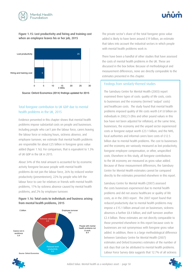![](_page_50_Picture_0.jpeg)

#### Figure 1.15: Lost productivity and hiring and training cost when an employee leaves his or her job, 2015

![](_page_50_Figure_3.jpeg)

#### Total foregone contribution to UK GDP due to mental health problems in the UK, 2015

Evidence presented in this chapter shows that mental health problems impose substantial costs on people and businesses. Including people who can't join the labour force, carers leaving the labour force or reducing hours, sickness absence, and employee turnover, we estimate that mental health problems are responsible for about £25 billion in foregone gross value added (figure 1.16). For comparison, that is equivalent to 1.3% of UK GDP in the UK in 2015.

About 34% of this total amount is accounted for by economic activity foregone because people with mental health problems do not join the labour force, 26% by reduced worker productivity (presenteeism), 22% by people who left the labour force to care for relatives or friends with mental health problems, 17% by sickness absence caused by mental health problems, and 2% by employee turnover.

#### Figure 1.16: Total costs to individuals and business arising from mental health problems, 2015

![](_page_50_Figure_8.jpeg)

The private sector's share of the total foregone gross value added is likely to have been around £19 billion, an estimate that takes into account the industrial sectors in which people with mental health problems work in.

There have been a handful of other studies that have assessed the costs of mental health problems in the UK. These are discussed in the box below. Because of methodological and measurement differences, none are directly comparable to the estimates presented in this chapter.

#### Findings from similarly-themed studies

 The Sainsbury Centre for Mental Health (2003) report examined three types of costs: quality of life costs, costs to businesses and the economy (termed 'output' costs) and healthcare costs. The study found that mental health problems imposed quality of life costs worth £41.8 billion on individuals in 2002/3 (this and other pound values in this box have not been adjusted for inflation); at the same time, businesses, the economy and the unpaid sector experienced costs or foregone output worth £23.1 billion; and the NHS, local authorities and informal carers bore costs of £12.5 billion due to mental health problems. The cost to businesses and the economy are variously measured as lost productivity, foregone employee compensation, or other, unspecified costs. Elsewhere in this study, all foregone contributions to the UK economy are measured as gross value added. Because of these measurement differences, the Sainsbury Centre for Mental Health estimates cannot be compared directly to the estimates presented elsewhere in this report.

 Sainsbury Centre for Mental Health (2007) assessed the costs businesses experienced due to mental health problems and did not assess healthcare or quality of life costs, as in the 2003 report. The 2007 report found that reduced productivity due to mental health problems may impose a £15.1 billion annual cost on businesses; sickness absences a further £8.4 billion; and staff turnover another £2.4 billion. These estimates are not directly comparable to  $\parallel$  those presented elsewhere in this report because costs to  $\frac{du}{dt}$  businesses are not synonymous with foregone gross value  $\parallel$  added. In addition, there is a large methodological difference between Sainsbury Centre for Mental Health (2007) estimates and Oxford Economics estimates of the number of sick days that can be attributed to mental health problems. Labour Force Survey data suggests that 12.7% of all sickness health problems not  $\begin{bmatrix} 1 & 1 \\ 1 & 1 \end{bmatrix}$ 

![](_page_50_Picture_14.jpeg)

![](_page_50_Picture_16.jpeg)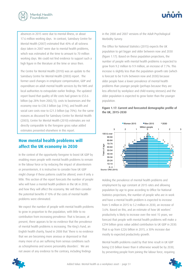<span id="page-51-0"></span>![](_page_51_Picture_0.jpeg)

absences in 2015 were due to mental illness, or about 17.6 million working days. In contrast, Sainsbury Centre for Mental Health (2007) estimated that 40% of all sickness days taken in 2007 were due to mental health problems, which was estimated at the time to amount to 70 million working days. We could not find evidence to support such a high figure in the literature at the time or since then.

 The Centre for Mental Health (2010) was an update to the Sainsbury Centre for Mental Health (2003) report. The former used changes in employee compensation, GDP and expenditure on adult mental health services by the NHS and local authorities to extrapolate earlier findings. The updated report found that quality of life costs had grown to £53.6 billion (up 28% from 2002/3), costs to businesses and the economy rose to £30.3 billion (up 31%), and health and social care costs rose to £21.3 billion (up 70%). For the same reasons as discussed for Sainsbury Centre for Mental Health (2003), Centre for Mental Health (2010) estimates are not directly comparable to the foregone gross value added estimates presented elsewhere in this report.

### **How mental health problems will affect the UK economy in 2030**

In the context of the opportunity foregone to boost UK GDP by enabling more people with mental health problems to remain in the labour force or by reducing the impact of absenteeism or presenteeism, it is instructive to consider how UK GDP might change if these patterns could be altered, even if only a little. This section of the report forecasts the number of people who will have a mental health problem in the UK in 2030, and how they will affect the economy. We will then consider the potential benefits if 10% of the costs of mental health problems were eliminated.

We expect the number of people with mental health problems to grow in proportion to the population, with little to no contribution from increasing prevalence. That is because, at present, there appears to be no evidence that the prevalence of mental health problems is increasing. The King's Fund, an English health charity, found in 2008 that 'there is no evidence that we are becoming more anxious or depressed or that many more of us are suffering from serious conditions such as schizophrenia and severe personality disorders'. We are not aware of any evidence to the contrary, including findings

in the 2000 and 2007 versions of the Adult Psychological Morbidity Survey.

The Office for National Statistics (2015) expects the UK population to get bigger and older between now and 2030 (figure 1.17). Based on these population projections, the number of people with mental health problems is expected to grow from 9.2 million to 9.9 million, an increase of 7.7%. This increase is slightly less than the population growth rate (which is forecast to be 9.6% between now and 2030) because older people have a lower prevalence of mental health problems than younger people (perhaps because they are less affected by workplace and child-rearing stresses) and the older population is expected to grow faster than the younger population.

![](_page_51_Figure_8.jpeg)

![](_page_51_Figure_9.jpeg)

Holding the prevalence of mental health problems and employment by age constant at 2015 rates and allowing population by age to grow according to Office for National Statistics projections, the number of people who are in work and have a mental health problem is expected to increase from 5 million in 2015 to 5.2 million in 2030, an increase of 3.6%. Based on this, and an estimate of how UK workers' productivity is likely to increase over the next 15 years, we forecast that people with mental health problems will make a £294 billion gross value added contribution to UK GDP in 2030. That is up from £226 billion in 2015, a 30% increase due mostly to expected productivity growth.

Mental health problems could by that time result in UK GDP being £33 billion lower than it otherwise would be by 2030, by preventing people from joining the labour force, requiring

![](_page_51_Picture_12.jpeg)

![](_page_51_Picture_14.jpeg)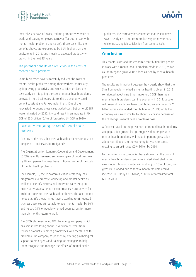![](_page_52_Picture_0.jpeg)

![](_page_52_Picture_1.jpeg)

they take sick days off work, reducing productivity while at work, and causing employee turnover (for both those with mental health problems and carers). These costs, like the benefits above, are expected to be 30% higher than the equivalents in 2015, due mostly to expected productivity growth in the next 15 years.

#### The potential benefits of a reduction in the costs of mental health problems

Some businesses have successfully reduced the costs of mental health problems among their workers, particularly by improving productivity and work satisfaction (see the case study on mitigating the cost of mental health problems below). If more businesses did so, the UK economy could benefit substantially. For example, if just 10% of the forecasted, foregone gross value added contribution to UK GDP were mitigated by 2030, it would result in an increase in UK GDP of £3.3 billion (0.1% of forecasted UK GDP in 2030).

 Case study: mitigating the cost of mental health problems

 Can any of the costs that mental health problems impose on people and businesses be mitigated?

 The Organization for Economic Cooperation and Development (OECD) recently discussed some examples of good practices by UK companies that may have mitigated some of the costs of mental health problems.

 For example, BT, the telecommunications company, has programmes to promote wellbeing and mental health as well as to identify distress and intervene early using an online stress assessment; it even provides a CBT service for 'mild-to-moderate' mental health problems. The OECD report notes that BT's programmes have, according to BT, reduced sickness absences attributable to poor mental health by 30% and helped 75% of people who had been absent for more than six months return to work.

 The OECD also mentioned EDF, the energy company, which has said it was losing about £1.4 billion per year from reduced productivity among employees with mental health problems. The company responded by offering psychological support to employees and training for managers to help them recognise and manage the effects of mental health

problems. The company has estimated that its initiatives saved nearly £230,000 from productivity improvements, while increasing job satisfaction from 36% to 58%.

#### **Conclusion**

This chapter assessed the economic contribution that people in work with a mental health problem made in 2015, as well as the foregone gross value added caused by mental health problems.

The results are important because they clearly show that the 5 million people who had a mental health problem in 2015 contributed about nine times more to UK GDP than their mental health problems cost the economy. In 2015, people with mental health problems contributed an estimated £226 billion gross value added contribution to UK GDP, while the economy was likely smaller by about £25 billion because of the challenges mental health problems pose.

A forecast based on the prevalence of mental health problems and population growth by age suggests that people with mental health problems will make important gross value added contributions to the economy for years to come, growing to an estimated £294 billion by 2030.

Furthermore, some companies have shown that the costs of mental health problems can be mitigated, illustrated in two case studies. Economy-wide, eliminating just 10% of foregone gross value added due to mental health problems could increase UK GDP by £3.3 billion, or 0.1% of forecasted total GDP in 2030.

![](_page_52_Picture_16.jpeg)

![](_page_52_Picture_17.jpeg)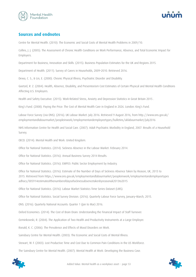<span id="page-53-0"></span>![](_page_53_Picture_0.jpeg)

![](_page_53_Picture_1.jpeg)

### **Sources and endnotes**

Centre for Mental Health. (2010). The Economic and Social Costs of Mental Health Problems in 2009/10.

Collins, J. J. (2005). The Assessment of Chronic Health Conditions on Work Performance, Absence, and Total Economic Impact for Employers.

Department for Business, Innovation and Skills. (2015). Business Population Estimates for the UK and Regions 2015.

Department of Health. (2011). Survey of Carers in Households, 2009–2010. Retrieved 2016.

Dewa, C. S., & Lin, E. (2000). Chronic Physical Illness, Psychiatric Disorder and Disability.

Goetzel, R. Z. (2004). Health, Absence, Disability, and Presenteeism Cost Estimates of Certain Physical and Mental Health Conditions Affecting U.S. Employers.

Health and Safety Executive. (2015). Work-Related Stress, Anxiety and Depression Statistics in Great Britain 2015 .

King's Fund. (2008). Paying the Price: The Cost of Mental Health Care in England in 2026. London: King's Fund.

Labour Force Survey (via ONS). (2016). UK Labour Market: July 2016. Retrieved 9 August 2016, from http://www.ons.gov.uk/ employmentandlabourmarket/peopleinwork/employmentandemployeetypes/bulletins/uklabourmarket/july2016

NHS Information Centre for Health and Social Care. (2007). Adult Psychiatric Morbidity in England, 2007: Results of a Household Survey.

OECD. (2014). Mental Health and Work: United Kingdom.

Office for National Statistics. (2014). Sickness Absence in the Labour Market: February 2014.

Office for National Statistics. (2016). Annual Business Survey 2014 Results.

Office for National Statistics. (2016). EMP03: Public Sector Employment by Industry.

Office for National Statistics. (2016). Estimate of the Number of Days of Sickness Absence Taken by Reason, UK, 2013 to 2015. Retrieved from https://www.ons.gov.uk/employmentandlabourmarket/peopleinwork/employmentandemployeetypes adhocs/005914estimateofthenumberofdaysofsicknessabsencetakenbyreasonuk2013to2015

Office for National Statistics. (2016). Labour Market Statistics Time Series Dataset (LMS).

Office for National Statistics. Social Survey Division. (2016). Quarterly Labour Force Survey, January–March, 2015.

ONS. (2016). Quarterly National Accounts: Quarter 1 (Jan to Mar) 2016.

Oxford Economics. (2014). The Cost of Brain Drain: Understanding the Financial Impact of Staff Turnover.

Ozminkowski, R. (2004). The Application of Two Health and Productivity Instruments at a Large Employer.

Ronald, K. C. (2006). The Prevalence and Effects of Mood Disorders on Work.

Sainsbury Centre for Mental Health. (2003). The Economic and Social Costs of Mental Illness.

Stewart, W. F. (2003). Lost Productive Time and Cost Due to Common Pain Conditions in the US Workforce.

The Sainsbury Centre for Mental Health. (2007). Mental Health at Work: Developing the Business Case.

![](_page_53_Picture_27.jpeg)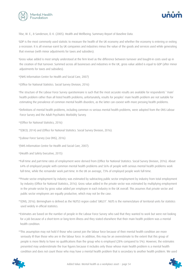![](_page_54_Picture_0.jpeg)

![](_page_54_Picture_1.jpeg)

Tilse, M. E., & Sanderson, D. K. (2005). Health and Wellbeing: Summary Report of Baseline Data.

i GDP is the most commonly used statistic to measure the health of the UK economy and whether the economy is entering or exiting a recession. It is all revenue earnt by UK companies and industries minus the value of the goods and services used while generating that revenue (with minor adjustments for taxes and subsidies).

iiGross value added is most simply understood at the firm level as the difference between turnover and bought-in costs used up in the creation of that turnover. Summed across all businesses and industries in the UK, gross value added is equal to GDP (after minor adjustments for taxes and subsidies).

iii(NHS Information Centre for Health and Social Care, 2007)

iv(Office for National Statistics. Social Survey Division, 2016)

v The structure of the Labour Force Survey questionnaire is such that the most accurate results are available for respondents' 'main' health problem rather than all listed health problems; unfortunately, results for peoples' main health problem are not suitable for estimating the prevalence of common mental health disorders, as the latter can coexist with more pressing health problems.

viDefinitions of mental health problems, including common vs serious mental health problems, were adopted from the ONS Labour Force Survey and the Adult Psychiatric Morbidity Survey.

vii(Office for National Statistics, 2016)

viii(OECD, 2014) and (Office for National Statistics. Social Survey Division, 2016).

ix(Labour Force Survey (via ONS), 2016)

x (NHS Information Centre for Health and Social Care, 2007).

xi(Health and Safety Executive, 2015)

xiiFull-time and part-time rates of employment were derived from (Office for National Statistics. Social Survey Division, 2016). About 64% of employed people with common mental health problems and 56% of people with serious mental health problems work full-time, while the remainder work part-time. In the UK on average, 73% of employed people work full-time.

xiiiPrivate sector employment by industry was estimated by subtracting public sector employment by industry from total employment by industry (Office for National Statistics, 2016). Gross value added in the private sector was estimated by multiplying employment in the private sector by gross value added per employee in each industry in the UK overall. This assumes that private sector and public sector employees are equally productive, which may not be the case.

xiv(ONS, 2016). Birmingham is defined as the NUTS3 region coded 'UKG31'. NUTS is the nomenclature of territorial units for statistics used widely in official statistics.

xvEstimates are based on the number of people in the Labour Force Survey who said that they wanted to work but were not looking for a job because of a short-term or long-term illness and they stated elsewhere that their main health problem was a mental health condition.

xviThis assumption may not hold if those who cannot join the labour force because of their mental health condition are more seriously ill than those who are in the labour force. In addition, this may be an overestimate to the extent that this group of people is more likely to have no qualifications than the group who is employed (28% compared to 5%). However, the estimates presented may underestimate the true figures because it includes only those whose main health problem is a mental health condition and does not count those who may have a mental health problem that is secondary to another health problem. We used

![](_page_54_Picture_19.jpeg)

![](_page_54_Picture_21.jpeg)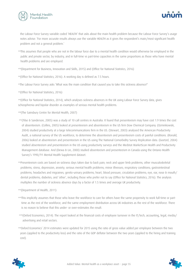![](_page_55_Picture_0.jpeg)

![](_page_55_Picture_1.jpeg)

the Labour Force Survey variable coded 'HEALTH' that asks about the main health problem because the Labour Force Survey's usage notes advise: 'For more accurate results always use the variable HEALTH as it gives the respondent's main/most significant health problem and not a general problem.'

xviiThis assumes that people who are not in the labour force due to a mental health condition would otherwise be employed in the public and private sector, by industry, and in full-time vs part-time capacities in the same proportions as those who have mental health problems and are employed.

xviii(Department for Business, Innovation and Skills, 2015) and (Office for National Statistics, 2016)

xix(Office for National Statistics, 2016). A working day is defined as 7.5 hours.

xxThe Labour Force Survey asks 'What was the main condition that caused you to take this sickness absence?'

xxi(Office for National Statistics, 2016)

xxii(Office for National Statistics, 2014), which analyses sickness absences in the UK using Labour Force Survey data, gives schizophrenia and bipolar disorder as examples of serious mental health problems.

xxiii(The Sainsbury Centre for Mental Health, 2007)

- xxiv(Tilse & Sanderson, 2005) was a study of 10 call centres in Australia. It found that presenteeism may have cost 1.9 times the cost of absenteeism. (Collins, 2005) looked at presenteeism and absenteeism in the US firm Dow Chemical Company. (Ozminkowski, 2004) studied productivity at a large telecommunications firm in the US. (Stewart, 2003) analysed the American Productivity Audit, a national survey of the US workforce, to determine the absenteeism and presenteeism costs of painful conditions. (Ronald, 2006) looked at absenteeism and presenteeism in the US using The National Comorbidity Survey Replication data. (Goetzel, 2004) studied absenteeism and presenteeism in the US using productivity surveys and the Medstat MarketScan Health and Productivity Management database. And (Dewa & Lin, 2000) studied absenteeism and presenteeism in Canada using the Ontario Health Survey's 1990/91 Mental Health Supplement dataset.
- xxvPresenteeism costs are based on sickness days taken due to back pain; neck and upper limb problems; other musculoskeletal problems; stress, depression, anxiety; serious mental health problems; minor illnesses; respiratory conditions; gastrointestinal problems; headaches and migraines; genito-urinary problems; heart, blood pressure, circulation problems; eye, ear, nose & mouth/ dental problems; diabetes; and 'other', including those who prefer not to say (Office for National Statistics, 2016). The analysis multiplies the number of sickness absence days by a factor of 1.5 times and average UK productivity.
- xxvi(Department of Health, 2011)
- xxviiThis implicitly assumes that those who leave the workforce to care for others have the same propensity to work full-time or parttime as the rest of the workforce, and the same employment distribution across UK industries as the rest of the workforce. There is no reason to believe that this under- or over-estimates the result.
- xxviii(Oxford Economics, 2014). The report looked at the financial costs of employee turnover in the IT/tech, accounting, legal, media/ advertising and retail sectors.
- xxix Oxford Economics' 2014 estimates were updated for 2015 using the ratio of gross value added per employee between the two years (applied to the productivity loss) and the ratio of the GDP deflator between the two years (applied to the hiring and training cost).

![](_page_55_Picture_16.jpeg)

![](_page_55_Picture_17.jpeg)